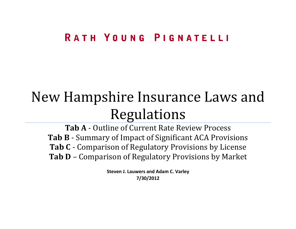### RATH YOUNG PIGNATELLI

### New Hampshire Insurance Laws and Regulations

**Tab A** - Outline of Current Rate Review Process **Tab B** - Summary of Impact of Significant ACA Provisions **Tab C** - Comparison of Regulatory Provisions by License **Tab D** – Comparison of Regulatory Provisions by Market

> **Steven J. Lauwers and Adam C. Varley 7/30/2012**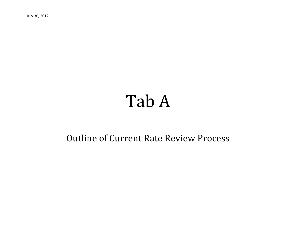July 30, 2012

## Tab A

### Outline of Current Rate Review Process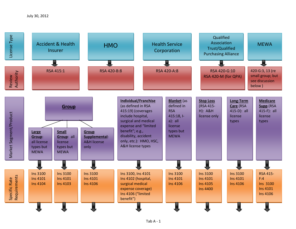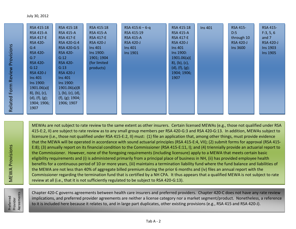| RSA 415:18       | RSA 415:18         | RSA 415:18       | RSA 415:6 $-6-q$ | RSA 415:18       | <b>Ins 401</b> | <b>RSA 415-</b>  | <b>RSA 415-</b>  |
|------------------|--------------------|------------------|------------------|------------------|----------------|------------------|------------------|
| <b>RSA 415-A</b> | <b>RSA 415-A</b>   | <b>RSA 415-A</b> | RSA 415:19       | <b>RSA 415-A</b> |                | D:5              | F:3, 5, 6        |
| <b>RSA 417-E</b> | <b>RSA 417-E</b>   | <b>RSA 417-E</b> | <b>RSA 415-A</b> | <b>RSA 417-E</b> |                | through 10       | and 7            |
| <b>RSA 420-</b>  | RSA 420-G:4        | <b>RSA 420-J</b> | <b>RSA 420-J</b> | <b>RSA 420-J</b> |                | <b>RSA 420-J</b> | <b>RSA 420-J</b> |
| G:4              | RSA 420-G:5        | <b>Ins 401</b>   | <b>Ins 401</b>   | Ins 401          |                | Ins 3600         | Ins 1903         |
| <b>RSA 420-</b>  | <b>RSA 420-</b>    | Ins 1900:        | Ins 1901         | Ins 1900:        |                |                  | Ins 1905         |
| G:7              | G:12               | 1901; 1904       |                  | 1901.06(a)       |                |                  |                  |
| <b>RSA 420-</b>  | <b>RSA 420-</b>    | (for limited     |                  | $8)$ , (b), (c), |                |                  |                  |
| G:12             | G:13               | products)        |                  | (d), (f), (g);   |                |                  |                  |
| <b>RSA 420-J</b> | <b>RSA 420-J</b>   |                  |                  | 1904; 1906;      |                |                  |                  |
| <b>Ins 401</b>   | $\ln s$ 401        |                  |                  | 1907             |                |                  |                  |
| Ins 1900:        | Ins 1900:          |                  |                  |                  |                |                  |                  |
| 1901.06(a)       | 1901.06(a)(8)      |                  |                  |                  |                |                  |                  |
| $8)$ , (b), (c), | ), (b), (c), (d),  |                  |                  |                  |                |                  |                  |
| (d), (f), (g);   | $(f)$ , (g); 1904; |                  |                  |                  |                |                  |                  |
| 1904; 1906;      | 1906; 1907         |                  |                  |                  |                |                  |                  |
| 1907             |                    |                  |                  |                  |                |                  |                  |
|                  |                    |                  |                  |                  |                |                  |                  |

MEWAs are not subject to rate review to the same extent as other insurers. Certain licensed MEWAs (e.g., those not qualified under RSA 415-E:2, II) are subject to rate review as to any small group members per RSA 420-G:3 and RSA 420-G:13. In addition, MEWAs subject to licensure (i.e., those not qualified under RSA 415-E:2, II) must: (1) file an application that, among other things, must provide evidence that the MEWA will be operated in accordance with sound actuarial principles (RSA 415-E:4, VII); (2) submit forms for approval (RSA 415- E:8); (3) annually report on its financial condition to the Commissioner (RSA 415-E:11, I); and (4) triennially provide an actuarial report to the Commissioner. However, none of the foregoing requirements (including licensure) apply to a MEWA that meets certain basic eligibility requirements and (i) is administered primarily from a principal place of business in NH, (ii) has provided employee health benefits for a continuous period of 10 or more years, (iii) maintains a termination liability fund where the fund balance and liabilities of the MEWA are not less than 40% of aggregate billed premium during the prior 6 months and (iv) files an annual report with the Commissioner regarding the termination fund that is certified by a NH CPA. It thus appears that a qualified MEWA is not subject to rate review at all (i.e., that it is not sufficiently regulated to be subject to RSA 420-G:13).

Preferred<br>Provider<br>Agreements Agreements Preferred Provider

MEWA Provisions

**MEWA Provisions** 

Related Form Review Provisions

Related Form Review Provisions

Chapter 420-C governs agreements between health care insurers and preferred providers. Chapter 420-C does not have any rate review implications, and preferred provider agreements are neither a license category nor a market segment/product. Nonetheless, a reference to it is included here because it relates to, and in large part duplicates, other existing provisions (e.g., RSA 415 and RSA 420-J).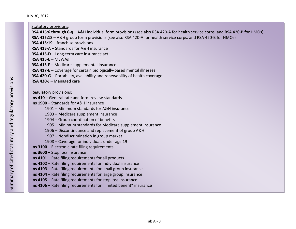July 30, 2012

| <b>Statutory provisions:</b>                                                                                                 |
|------------------------------------------------------------------------------------------------------------------------------|
| RSA 415:6 through 6-q - A&H individual form provisions (see also RSA 420-A for health service corps. and RSA 420-B for HMOs) |
| RSA 415:18 - A&H group form provisions (see also RSA 420-A for health service corps. and RSA 420-B for HMOs)                 |
| RSA 415:19 - franchise provisions                                                                                            |
| RSA 415-A - Standards for A&H insurance                                                                                      |
| RSA 415-D - Long-term care insurance act                                                                                     |
| RSA 415-E $-$ MEWAs                                                                                                          |
| RSA 415-F - Medicare supplemental insurance                                                                                  |
| RSA 417-E - Coverage for certain biologically-based mental illnesses                                                         |
| RSA 420-G - Portability, availability and renewability of health coverage                                                    |
| RSA 420-J - Managed care                                                                                                     |
|                                                                                                                              |
| Regulatory provisions:                                                                                                       |
| Ins 410 – General rate and form review standards                                                                             |
| Ins 1900 - Standards for A&H insurance                                                                                       |
| 1901 - Minimum standards for A&H insurance                                                                                   |
| 1903 – Medicare supplement insurance                                                                                         |
| 1904 - Group coordination of benefits                                                                                        |
| 1905 – Minimum standards for Medicare supplement insurance                                                                   |
| 1906 - Discontinuance and replacement of group A&H                                                                           |
| 1907 - Nondiscrimination in group market                                                                                     |
| 1908 – Coverage for individuals under age 19                                                                                 |
| Ins 3100 - Electronic rate filing requirements                                                                               |
| Ins 3600 - Stop loss insurance                                                                                               |
| Ins 4101 - Rate filing requirements for all products                                                                         |
| Ins 4102 - Rate filing requirements for individual insurance                                                                 |
| Ins 4103 – Rate filing requirements for small group insurance                                                                |
| Ins 4104 - Rate filing requirements for large group insurance                                                                |
| Ins 4105 - Rate filing requirements for stop loss insurance                                                                  |
| Ins 4106 - Rate filing requirements for "limited benefit" insurance                                                          |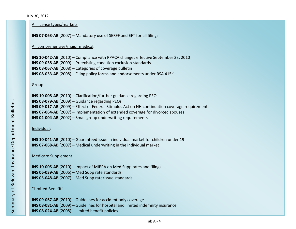#### All license types/markets:

#### **INS 07-063-AB** (2007) – Mandatory use of SERFF and EFT for all filings

#### All comprehensive/major medical:

**INS 10-042-AB** (2010) – Compliance with PPACA changes effective September 23, 2010 **INS 09-038-AB** (2009) – Preexisting condition exclusion standards **INS 08-067-AB** (2008) – Categories of coverage bulletin **INS 08-033-AB** (2008) – Filing policy forms and endorsements under RSA 415:1

#### Group:

| <b>INS 10-008-AB</b> (2010) – Clarification/further guidance regarding PEOs                    |
|------------------------------------------------------------------------------------------------|
| <b>INS 08-079-AB</b> (2009) – Guidance regarding PEOs                                          |
| INS 09-017-AB (2009) – Effect of Federal Stimulus Act on NH continuation coverage requirements |
| <b>INS 07-064-AB</b> (2007) – Implementation of extended coverage for divorced spouses         |
| <b>INS 02-004-AB</b> (2002) - Small group underwriting requirements                            |

#### Individual:

**INS 10-041-AB** (2010) – Guaranteed issue in individual market for children under 19 **INS 07-068-AB** (2007) – Medical underwriting in the individual market

#### Medicare Supplement:

**INS 10-005-AB** (2010) – Impact of MIPPA on Med Supp rates and filings **INS 06-039-AB** (2006) – Med Supp rate standards **INS 05-048-AB** (2007) – Med Supp rate/issue standards

#### "Limited Benefit":

**INS 09-067-AB** (2010) – Guidelines for accident only coverage **INS 08-081-AB** (2009) – Guidelines for hospital and limited indemnity insurance **INS 08-024-AB** (2008) – Limited benefit policies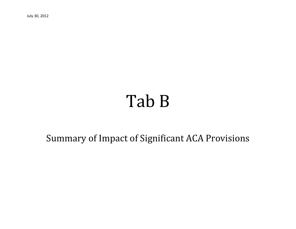July 30, 2012

# Tab B

Summary of Impact of Significant ACA Provisions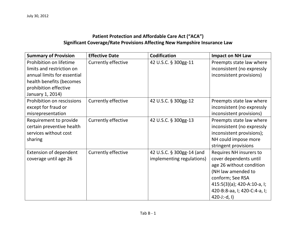#### **Patient Protection and Affordable Care Act ("ACA") Significant Coverage/Rate Provisions Affecting New Hampshire Insurance Law**

| <b>Summary of Provision</b>   | <b>Effective Date</b>      | <b>Codification</b>       | <b>Impact on NH Law</b>        |
|-------------------------------|----------------------------|---------------------------|--------------------------------|
| Prohibition on lifetime       | <b>Currently effective</b> | 42 U.S.C. § 300gg-11      | Preempts state law where       |
| limits and restriction on     |                            |                           | inconsistent (no expressly     |
| annual limits for essential   |                            |                           | inconsistent provisions)       |
| health benefits (becomes      |                            |                           |                                |
| prohibition effective         |                            |                           |                                |
| January 1, 2014)              |                            |                           |                                |
| Prohibition on rescissions    | <b>Currently effective</b> | 42 U.S.C. § 300gg-12      | Preempts state law where       |
| except for fraud or           |                            |                           | inconsistent (no expressly     |
| misrepresentation             |                            |                           | inconsistent provisions)       |
| Requirement to provide        | Currently effective        | 42 U.S.C. § 300gg-13      | Preempts state law where       |
| certain preventive health     |                            |                           | inconsistent (no expressly     |
| services without cost         |                            |                           | inconsistent provisions);      |
| sharing                       |                            |                           | NH could impose more           |
|                               |                            |                           | stringent provisions           |
| <b>Extension of dependent</b> | <b>Currently effective</b> | 42 U.S.C. § 300gg-14 (and | Requires NH insurers to        |
| coverage until age 26         |                            | implementing regulations) | cover dependents until         |
|                               |                            |                           | age 26 without condition       |
|                               |                            |                           | (NH law amended to             |
|                               |                            |                           | conform; See RSA               |
|                               |                            |                           | $415:5(3)(a)$ ; 420-A:10-a, I; |
|                               |                            |                           | 420-B:8-aa, I; 420-C:4-a, I;   |
|                               |                            |                           | $420 - J:-d, I)$               |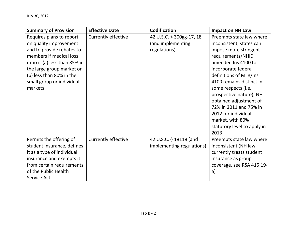| <b>Summary of Provision</b>   | <b>Effective Date</b>      | <b>Codification</b>       | <b>Impact on NH Law</b>     |
|-------------------------------|----------------------------|---------------------------|-----------------------------|
| Requires plans to report      | <b>Currently effective</b> | 42 U.S.C. § 300gg-17, 18  | Preempts state law where    |
| on quality improvement        |                            | (and implementing         | inconsistent; states can    |
| and to provide rebates to     |                            | regulations)              | impose more stringent       |
| members if medical loss       |                            |                           | requirements/NHID           |
| ratio is (a) less than 85% in |                            |                           | amended Ins 4100 to         |
| the large group market or     |                            |                           | incorporate federal         |
| (b) less than 80% in the      |                            |                           | definitions of MLR/Ins      |
| small group or individual     |                            |                           | 4100 remains distinct in    |
| markets                       |                            |                           | some respects (i.e.,        |
|                               |                            |                           | prospective nature); NH     |
|                               |                            |                           | obtained adjustment of      |
|                               |                            |                           | 72% in 2011 and 75% in      |
|                               |                            |                           | 2012 for individual         |
|                               |                            |                           | market, with 80%            |
|                               |                            |                           | statutory level to apply in |
|                               |                            |                           | 2013                        |
| Permits the offering of       | Currently effective        | 42 U.S.C. § 18118 (and    | Preempts state law where    |
| student insurance, defines    |                            | implementing regulations) | inconsistent (NH law        |
| it as a type of individual    |                            |                           | currently treats student    |
| insurance and exempts it      |                            |                           | insurance as group          |
| from certain requirements     |                            |                           | coverage, see RSA 415:19-   |
| of the Public Health          |                            |                           | a)                          |
| Service Act                   |                            |                           |                             |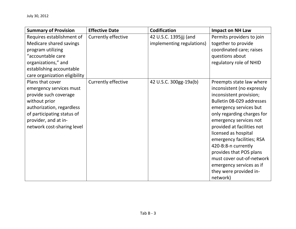| <b>Summary of Provision</b>   | <b>Effective Date</b>      | <b>Codification</b>       | <b>Impact on NH Law</b>    |
|-------------------------------|----------------------------|---------------------------|----------------------------|
| Requires establishment of     | <b>Currently effective</b> | 42 U.S.C. 1395jjj (and    | Permits providers to join  |
| Medicare shared savings       |                            | implementing regulations) | together to provide        |
| program utilizing             |                            |                           | coordinated care; raises   |
| "accountable care             |                            |                           | questions about            |
| organizations," and           |                            |                           | regulatory role of NHID    |
| establishing accountable      |                            |                           |                            |
| care organization eligibility |                            |                           |                            |
| Plans that cover              | <b>Currently effective</b> | 42 U.S.C. 300gg-19a(b)    | Preempts state law where   |
| emergency services must       |                            |                           | inconsistent (no expressly |
| provide such coverage         |                            |                           | inconsistent provision;    |
| without prior                 |                            |                           | Bulletin 08-029 addresses  |
| authorization, regardless     |                            |                           | emergency services but     |
| of participating status of    |                            |                           | only regarding charges for |
| provider, and at in-          |                            |                           | emergency services not     |
| network cost-sharing level    |                            |                           | provided at facilities not |
|                               |                            |                           | licensed as hospital       |
|                               |                            |                           | emergency facilities; RSA  |
|                               |                            |                           | 420-B:8-n currently        |
|                               |                            |                           | provides that POS plans    |
|                               |                            |                           | must cover out-of-network  |
|                               |                            |                           | emergency services as if   |
|                               |                            |                           | they were provided in-     |
|                               |                            |                           | network)                   |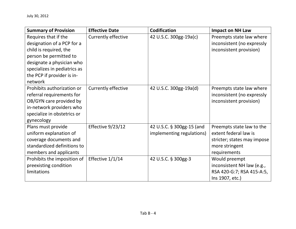| <b>Summary of Provision</b>                                                                                                                                                                                  | <b>Effective Date</b>      | <b>Codification</b>                                    | <b>Impact on NH Law</b>                                                                                             |
|--------------------------------------------------------------------------------------------------------------------------------------------------------------------------------------------------------------|----------------------------|--------------------------------------------------------|---------------------------------------------------------------------------------------------------------------------|
| Requires that if the<br>designation of a PCP for a<br>child is required, the<br>person be permitted to<br>designate a physician who<br>specializes in pediatrics as<br>the PCP if provider is in-<br>network | Currently effective        | 42 U.S.C. 300gg-19a(c)                                 | Preempts state law where<br>inconsistent (no expressly<br>inconsistent provision)                                   |
| Prohibits authorization or<br>referral requirements for<br>OB/GYN care provided by<br>in-network providers who<br>specialize in obstetrics or<br>gynecology                                                  | <b>Currently effective</b> | 42 U.S.C. 300gg-19a(d)                                 | Preempts state law where<br>inconsistent (no expressly<br>inconsistent provision)                                   |
| Plans must provide<br>uniform explanation of<br>coverage documents and<br>standardized definitions to<br>members and applicants                                                                              | Effective 9/23/12          | 42 U.S.C. § 300gg-15 (and<br>implementing regulations) | Preempts state law to the<br>extent federal law is<br>stricter; states may impose<br>more stringent<br>requirements |
| Prohibits the imposition of<br>preexisting condition<br>limitations                                                                                                                                          | Effective 1/1/14           | 42 U.S.C. § 300gg-3                                    | Would preempt<br>inconsistent NH law (e.g.,<br>RSA 420-G:7; RSA 415-A:5,<br>Ins 1907, etc.)                         |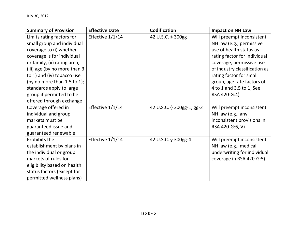| <b>Summary of Provision</b>  | <b>Effective Date</b> | <b>Codification</b>       | <b>Impact on NH Law</b>       |
|------------------------------|-----------------------|---------------------------|-------------------------------|
| Limits rating factors for    | Effective 1/1/14      | 42 U.S.C. § 300gg         | Will preempt inconsistent     |
| small group and individual   |                       |                           | NH law (e.g., permissive      |
| coverage to (i) whether      |                       |                           | use of health status as       |
| coverage is for individual   |                       |                           | rating factor for individual  |
| or family, (ii) rating area, |                       |                           | coverage, permissive use      |
| (iii) age (by no more than 3 |                       |                           | of industry classification as |
| to 1) and (iv) tobacco use   |                       |                           | rating factor for small       |
| (by no more than 1.5 to 1);  |                       |                           | group, age rate factors of    |
| standards apply to large     |                       |                           | 4 to 1 and 3.5 to 1, See      |
| group if permitted to be     |                       |                           | RSA 420-G:4)                  |
| offered through exchange     |                       |                           |                               |
| Coverage offered in          | Effective 1/1/14      | 42 U.S.C. § 300gg-1, gg-2 | Will preempt inconsistent     |
| individual and group         |                       |                           | NH law (e.g., any             |
| markets must be              |                       |                           | inconsistent provisions in    |
| guaranteed issue and         |                       |                           | RSA 420-G:6, V)               |
| guaranteed renewable         |                       |                           |                               |
| Prohibits the                | Effective 1/1/14      | 42 U.S.C. § 300gg-4       | Will preempt inconsistent     |
| establishment by plans in    |                       |                           | NH law (e.g., medical         |
| the individual or group      |                       |                           | underwriting for individual   |
| markets of rules for         |                       |                           | coverage in RSA 420-G:5)      |
| eligibility based on health  |                       |                           |                               |
| status factors (except for   |                       |                           |                               |
| permitted wellness plans)    |                       |                           |                               |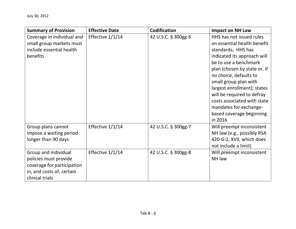| <b>Summary of Provision</b>                                                                                                 | <b>Effective Date</b> | <b>Codification</b> | <b>Impact on NH Law</b>                                                                                                                                                                                                                                                                                                                                                               |
|-----------------------------------------------------------------------------------------------------------------------------|-----------------------|---------------------|---------------------------------------------------------------------------------------------------------------------------------------------------------------------------------------------------------------------------------------------------------------------------------------------------------------------------------------------------------------------------------------|
| Coverage in individual and<br>small group markets must<br>include essential health<br>benefits                              | Effective 1/1/14      | 42 U.S.C. § 300gg-6 | HHS has not issued rules<br>on essential health benefit<br>standards; HHS has<br>indicated its approach will<br>be to use a benchmark<br>plan (chosen by state or, if<br>no choice, defaults to<br>small group plan with<br>largest enrollment); states<br>will be required to defray<br>costs associated with state<br>mandates for exchange-<br>based coverage beginning<br>in 2016 |
| Group plans cannot<br>impose a waiting period<br>longer than 90 days                                                        | Effective 1/1/14      | 42 U.S.C. § 300gg-7 | Will preempt inconsistent<br>NH law (e.g., possibly RSA<br>420-G:2, XVII, which does<br>not include a limit)                                                                                                                                                                                                                                                                          |
| Group and individual<br>policies must provide<br>coverage for participation<br>in, and costs of, certain<br>clinical trials | Effective 1/1/14      | 42 U.S.C. § 300gg-8 | Will preempt inconsistent<br>NH law                                                                                                                                                                                                                                                                                                                                                   |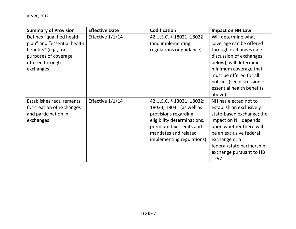| <b>Summary of Provision</b> | <b>Effective Date</b> | <b>Codification</b>         | <b>Impact on NH Law</b>     |
|-----------------------------|-----------------------|-----------------------------|-----------------------------|
| Defines "qualified health   | Effective $1/1/14$    | 42 U.S.C. § 18021; 18022    | Will determine what         |
| plan" and "essential health |                       | (and implementing           | coverage can be offered     |
| benefits" (e.g., for        |                       | regulations or guidance)    | through exchanges (see      |
| purposes of coverage        |                       |                             | discussion of exchanges     |
| offered through             |                       |                             | below); will determine      |
| exchanges)                  |                       |                             | minimum coverage that       |
|                             |                       |                             | must be offered for all     |
|                             |                       |                             | policies (see discussion of |
|                             |                       |                             | essential health benefits   |
|                             |                       |                             | above)                      |
| Establishes requirements    | Effective $1/1/14$    | 42 U.S.C. § 13031; 18032;   | NH has elected not to       |
| for creation of exchanges   |                       | 18033; 18041 (as well as    | establish an exclusively    |
| and participation in        |                       | provisions regarding        | state-based exchange; the   |
| exchanges                   |                       | eligibility determinations, | impact on NH depends        |
|                             |                       | premium tax credits and     | upon whether there will     |
|                             |                       | mandates and related        | be an exclusive federal     |
|                             |                       | implementing regulations)   | exchange or a               |
|                             |                       |                             | federal/state partnership   |
|                             |                       |                             | exchange pursuant to HB     |
|                             |                       |                             | 1297                        |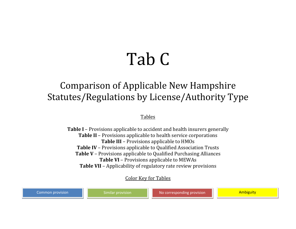## Tab C

### Comparison of Applicable New Hampshire Statutes/Regulations by License/Authority Type

Tables

**Table I** – Provisions applicable to accident and health insurers generally **Table II** – Provisions applicable to health service corporations **Table III** – Provisions applicable to HMOs **Table IV** – Provisions applicable to Qualified Association Trusts **Table V** – Provisions applicable to Qualified Purchasing Alliances **Table VI** – Provisions applicable to MEWAs **Table VII** – Applicability of regulatory rate review provisions

Color Key for Tables

Common provision **No. 2. Inc.** Similar provision No corresponding provision Notel Town Ambiguity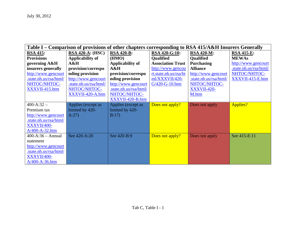| Table I – Comparison of provisions of other chapters corresponding to RSA 415/A&H Insurers Generally |                         |                        |                          |                        |                        |  |  |
|------------------------------------------------------------------------------------------------------|-------------------------|------------------------|--------------------------|------------------------|------------------------|--|--|
| <b>RSA 415:</b>                                                                                      | <b>RSA 420-A: (HSC)</b> | <b>RSA 420-B:</b>      | RSA 420-G:10:            | <b>RSA 420-M:</b>      | <b>RSA 415-E:</b>      |  |  |
| <b>Provisions</b>                                                                                    | Applicability of        | (HMO)                  | <b>Qualified</b>         | <b>Qualified</b>       | <b>MEWAs</b>           |  |  |
| governing A&H                                                                                        | $A\&H$                  | Applicability of       | <b>Association Trust</b> | <b>Purchasing</b>      | http://www.gencourt    |  |  |
| insurers generally                                                                                   | provision/correspo      | $A\&H$                 | http://www.gencou        | <b>Alliance</b>        | .state.nh.us/rsa/html/ |  |  |
| http://www.gencourt                                                                                  | nding provision         | provision/correspo     | rt.state.nh.us/rsa/ht    | http://www.gencourt    | NHTOC/NHTOC-           |  |  |
| .state.nh.us/rsa/html/                                                                               | http://www.gencourt     | nding provision        | ml/XXXVII/420-           | .state.nh.us/rsa/html/ | XXXVII-415-E.htm       |  |  |
| NHTOC/NHTOC-                                                                                         | .state.nh.us/rsa/html/  | http://www.gencourt    | G/420-G-10.htm           | NHTOC/NHTOC-           |                        |  |  |
| XXXVII-415.htm                                                                                       | NHTOC/NHTOC-            | .state.nh.us/rsa/html/ |                          | XXXVII-420-            |                        |  |  |
|                                                                                                      | XXXVII-420-A.htm        | NHTOC/NHTOC-           |                          | M.htm                  |                        |  |  |
|                                                                                                      |                         | XXXVII-420-B.htm       |                          |                        |                        |  |  |
| $400 - A:32 -$                                                                                       | Applies (except as      | Applies (except as     | Does not apply?          | Does not apply         | Applies?               |  |  |
| Premium tax                                                                                          | limited by 420-         | limited by 420-        |                          |                        |                        |  |  |
| http://www.gencourt                                                                                  | A:27)                   | B:17)                  |                          |                        |                        |  |  |
| .state.nh.us/rsa/html/                                                                               |                         |                        |                          |                        |                        |  |  |
| XXXVII/400-                                                                                          |                         |                        |                          |                        |                        |  |  |
| $A/400-A-32.htm$                                                                                     |                         |                        |                          |                        |                        |  |  |
| $400 - A:36 - Annual$                                                                                | See 420-A:20            | See 420-B:9            | Does not apply?          | Does not apply         | See 415-E:11           |  |  |
| statement                                                                                            |                         |                        |                          |                        |                        |  |  |
| http://www.gencourt                                                                                  |                         |                        |                          |                        |                        |  |  |
| .state.nh.us/rsa/html/                                                                               |                         |                        |                          |                        |                        |  |  |
| XXXVII/400-                                                                                          |                         |                        |                          |                        |                        |  |  |
| $A/400-A-36.htm$                                                                                     |                         |                        |                          |                        |                        |  |  |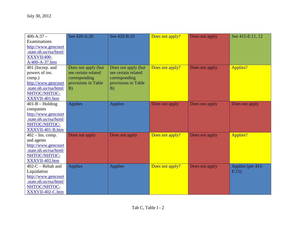| $400 - A:37 -$         | See 420-A:20        | See 420-B:10        | Does not apply? | Does not apply | See 415-E:11, 12  |
|------------------------|---------------------|---------------------|-----------------|----------------|-------------------|
| Examinations           |                     |                     |                 |                |                   |
| http://www.gencourt    |                     |                     |                 |                |                   |
| .state.nh.us/rsa/html/ |                     |                     |                 |                |                   |
| XXXVII/400-            |                     |                     |                 |                |                   |
| A/400-A-37.htm         |                     |                     |                 |                |                   |
| 401 (Incorp. and       | Does not apply (but | Does not apply (but | Does not apply? | Does not apply | Applies?          |
| powers of ins.         | see certain related | see certain related |                 |                |                   |
| comp.)                 | corresponding       | corresponding       |                 |                |                   |
| http://www.gencourt    | provisions in Table | provisions in Table |                 |                |                   |
| .state.nh.us/rsa/html/ | B)                  | B)                  |                 |                |                   |
| NHTOC/NHTOC-           |                     |                     |                 |                |                   |
| XXXVII-401.htm         |                     |                     |                 |                |                   |
| $401-B -$ Holding      | <b>Applies</b>      | <b>Applies</b>      | Does not apply  | Does not apply | Does not apply    |
| companies              |                     |                     |                 |                |                   |
| http://www.gencourt    |                     |                     |                 |                |                   |
| state.nh.us/rsa/html/  |                     |                     |                 |                |                   |
| NHTOC/NHTOC-           |                     |                     |                 |                |                   |
| XXXVII-401-B.htm       |                     |                     |                 |                |                   |
| $402 -$ Ins. comp.     | Does not apply      | Does not apply      | Does not apply? | Does not apply | Applies?          |
| and agents             |                     |                     |                 |                |                   |
| http://www.gencourt    |                     |                     |                 |                |                   |
| .state.nh.us/rsa/html/ |                     |                     |                 |                |                   |
| NHTOC/NHTOC-           |                     |                     |                 |                |                   |
| XXXVII-402.htm         |                     |                     |                 |                |                   |
| $402-C$ – Rehab and    | <b>Applies</b>      | <b>Applies</b>      | Does not apply? | Does not apply | Applies (per 415- |
| Liquidation            |                     |                     |                 |                | E:15              |
| http://www.gencourt    |                     |                     |                 |                |                   |
| .state.nh.us/rsa/html/ |                     |                     |                 |                |                   |
| NHTOC/NHTOC-           |                     |                     |                 |                |                   |
| XXXVII-402-C.htm       |                     |                     |                 |                |                   |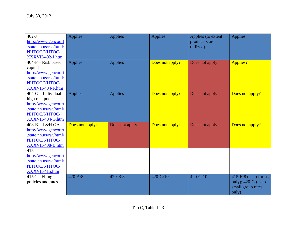| $402-J$                | <b>Applies</b>  | <b>Applies</b> | <b>Applies</b>  | Applies (to extent | <b>Applies</b>         |
|------------------------|-----------------|----------------|-----------------|--------------------|------------------------|
| http://www.gencourt    |                 |                |                 | producers are      |                        |
| .state.nh.us/rsa/html/ |                 |                |                 | utilized)          |                        |
| NHTOC/NHTOC-           |                 |                |                 |                    |                        |
| XXXVII-402-J.htm       |                 |                |                 |                    |                        |
| $404-F - Risk based$   | <b>Applies</b>  | <b>Applies</b> | Does not apply? | Does not apply     | Applies?               |
| capital                |                 |                |                 |                    |                        |
| http://www.gencourt    |                 |                |                 |                    |                        |
| .state.nh.us/rsa/html/ |                 |                |                 |                    |                        |
| NHTOC/NHTOC-           |                 |                |                 |                    |                        |
| XXXVII-404-F.htm       |                 |                |                 |                    |                        |
| $404-G$ – Individual   | <b>Applies</b>  | <b>Applies</b> | Does not apply? | Does not apply     | Does not apply?        |
| high risk pool         |                 |                |                 |                    |                        |
| http://www.gencourt    |                 |                |                 |                    |                        |
| .state.nh.us/rsa/html/ |                 |                |                 |                    |                        |
| NHTOC/NHTOC-           |                 |                |                 |                    |                        |
| XXXVII-404-G.htm       |                 |                |                 |                    |                        |
| $408-B-L&H GA$         | Does not apply? | Does not apply | Does not apply? | Does not apply     | Does not apply?        |
| http://www.gencourt    |                 |                |                 |                    |                        |
| .state.nh.us/rsa/html/ |                 |                |                 |                    |                        |
| NHTOC/NHTOC-           |                 |                |                 |                    |                        |
| XXXVII-408-B.htm       |                 |                |                 |                    |                        |
| 415                    |                 |                |                 |                    |                        |
| http://www.gencourt    |                 |                |                 |                    |                        |
| .state.nh.us/rsa/html/ |                 |                |                 |                    |                        |
| NHTOC/NHTOC-           |                 |                |                 |                    |                        |
| XXXVII-415.htm         |                 |                |                 |                    |                        |
| $415:1 - Filing$       | $420 - A:8$     | $420 - B:8$    | 420-G:10        | 420-G:10           | $415-E:8$ (as to forms |
| policies and rates     |                 |                |                 |                    | only); $420-G$ (as to  |
|                        |                 |                |                 |                    | small group rates      |
|                        |                 |                |                 |                    | only)                  |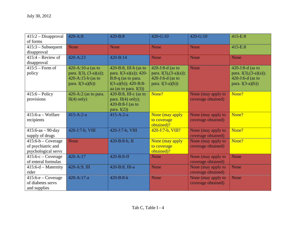| 415:2 - Disapproval   | $420 - A:8$                 | $420 - B:8$                | $420 - G:10$            | 420-G:10           | $415-E:8$               |
|-----------------------|-----------------------------|----------------------------|-------------------------|--------------------|-------------------------|
| of forms              |                             |                            |                         |                    |                         |
| $415:3 - Subsequent$  | None                        | None                       | None                    | None               | 415-E:8                 |
| disapproval           |                             |                            |                         |                    |                         |
| $415:4$ – Review of   | 420-A:23                    | $420 - B:14$               | None                    | None               | <b>None</b>             |
| disapproval           |                             |                            |                         |                    |                         |
| $415:5 - Form of$     | 420-A:10-a (as to           | $420 - B:8$ , III-b (as to | $420 - J:8-d$ (as to    | None               | 420-J:8-d (as to        |
| policy                | para. $I(3)$ , $(3-a)(a)$ ; | para. $I(3-a)(a)$ ; 420-   | para. $I(3),(3-a)(a)$ ; |                    | para. $I(3),(3-a)(a)$ ; |
|                       | 420-A:15-b (as to           | $B:8-q$ (as to para.       | 420-J:6-d (as to        |                    | $420 - J: 6-d$ (as to   |
|                       | para. $I(3-a)(b)$           | $I(3-a)(b)$ ; 420-B:8-     | para. $I(3-a)(b)$       |                    | para. $I(3-a)(b)$       |
|                       |                             | aa (as to para. $I(3)$ )   |                         |                    |                         |
| $415:6 - Policy$      | $420-A:2$ (as to para.      | 420-B:8, III- $c$ (as to   | None?                   | None (may apply to | None?                   |
| provisions            | $II(4)$ only)               | para. $II(4)$ only);       |                         | coverage obtained) |                         |
|                       |                             | 420-B:8-I (as to           |                         |                    |                         |
|                       |                             | para. $I(2)$               |                         |                    |                         |
| $415:6-a-Welfare$     | $415 - A:2-a$               | $415 - A:2-a$              | None (may apply         | None (may apply to | None?                   |
| recipients            |                             |                            | to coverage             | coverage obtained) |                         |
|                       |                             |                            | obtained)?              |                    |                         |
| $415:6$ -aa - 90-day  | 420-J:7-b, VIII             | 420-J:7-b, VIII            | $420 - J$ :7-b, VIII?   | None (may apply to | None?                   |
| supply of drugs       |                             |                            |                         | coverage obtained) |                         |
| $415:6-b$ – Coverage  | <b>None</b>                 | 420-B:8-b, II              | None (may apply         | None (may apply to | None?                   |
| of psychiatric and    |                             |                            | to coverage             | coverage obtained) |                         |
| psychological servs   |                             |                            | obtained)?              |                    |                         |
| $415:6-c$ – Coverage  | 420-A:17                    | 420-B:8-ff                 | None                    | None (may apply to | <b>None</b>             |
| of enteral formulas   |                             |                            |                         | coverage obtained) |                         |
| $415:6-d$ – Maternity | 420-A:9, III                | 420-B:8, III-a             | None                    | None (may apply to | None                    |
| rider                 |                             |                            |                         | coverage obtained) |                         |
| $415:6-e-Coverage$    | 420-A:17-a                  | $420 - B:8 - k$            | None                    | None (may apply to | <b>None</b>             |
| of diabetes servs     |                             |                            |                         | coverage obtained) |                         |
| and supplies          |                             |                            |                         |                    |                         |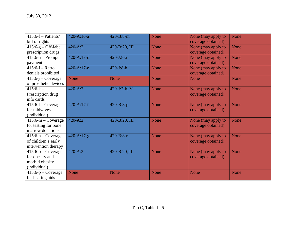| $415:6-f - Patients'$ | 420-A:16-a     | 420-B:8-m     | <b>None</b> | None (may apply to | None        |
|-----------------------|----------------|---------------|-------------|--------------------|-------------|
| bill of rights        |                |               |             | coverage obtained) |             |
| $415:6-g$ – Off-label | $420 - A:2$    | 420-B:20, III | None        | None (may apply to | None        |
| prescription drugs    |                |               |             | coverage obtained) |             |
| $415:6-h-Prompt$      | 420-A:17-d     | $420 - J:8-a$ | None        | None (may apply to | None        |
| payment               |                |               |             | coverage obtained) |             |
| $415:6-I - Retro$     | 420-A:17-e     | $420 - J:8-b$ | None        | None (may apply to | <b>None</b> |
| denials prohibited    |                |               |             | coverage obtained) |             |
| $415:6-j$ – Coverage  | <b>None</b>    | None          | None        | None               | <b>None</b> |
| of prosthetic devices |                |               |             |                    |             |
| $415:6-k -$           | $420 - A:2$    | 420-J:7-b, V  | None        | None (may apply to | <b>None</b> |
| Prescription drug     |                |               |             | coverage obtained) |             |
| info cards            |                |               |             |                    |             |
| $415:6-1$ – Coverage  | $420 - A:17-f$ | $420 - B:8-p$ | None        | None (may apply to | <b>None</b> |
| for midwives          |                |               |             | coverage obtained) |             |
| (individual)          |                |               |             |                    |             |
| $415:6-m-Coverage$    | $420 - A:2$    | 420-B:20, III | None        | None (may apply to | <b>None</b> |
| for testing for bone  |                |               |             | coverage obtained) |             |
| marrow donations      |                |               |             |                    |             |
| $415:6-n$ – Coverage  | $420 - A:17-g$ | $420 - B:8-r$ | None        | None (may apply to | None        |
| of children's early   |                |               |             | coverage obtained) |             |
| intervention therapy  |                |               |             |                    |             |
| $415:6-0$ – Coverage  | $420 - A:2$    | 420-B:20, III | None        | None (may apply to | None        |
| for obesity and       |                |               |             | coverage obtained) |             |
| morbid obesity        |                |               |             |                    |             |
| (individual)          |                |               |             |                    |             |
| $415:6-p$ – Coverage  | None           | None          | None        | None               | <b>None</b> |
| for hearing aids      |                |               |             |                    |             |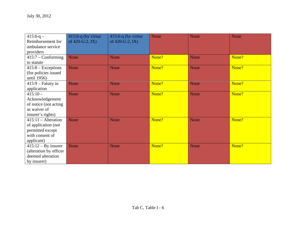| $415:6-q -$                 | $415:6-q$ (by virtue | $415:6-q$ (by virtue) | None  | None        | <b>None</b> |
|-----------------------------|----------------------|-----------------------|-------|-------------|-------------|
| Reimbursement for           | of 420-G:2, IX)      | of 420-G:2, IX)       |       |             |             |
| ambulance service           |                      |                       |       |             |             |
| providers                   |                      |                       |       |             |             |
| $415:7 - \text{Conforming}$ | <b>None</b>          | <b>None</b>           | None? | <b>None</b> | None?       |
| to statute                  |                      |                       |       |             |             |
| $415:8 - Exceptions$        | <b>None</b>          | <b>None</b>           | None? | <b>None</b> | None?       |
| (for policies issued)       |                      |                       |       |             |             |
| until 1956)                 |                      |                       |       |             |             |
| $415:9$ – Falsity in        | None                 | <b>None</b>           | None? | <b>None</b> | None?       |
| application                 |                      |                       |       |             |             |
| $415:10-$                   | <b>None</b>          | <b>None</b>           | None? | <b>None</b> | None?       |
| Acknowledgement             |                      |                       |       |             |             |
| of notice (not acting       |                      |                       |       |             |             |
| as waiver of                |                      |                       |       |             |             |
| insurer's rights)           |                      |                       |       |             |             |
| $415:11 - Alternative$      | <b>None</b>          | <b>None</b>           | None? | <b>None</b> | None?       |
| of application (not         |                      |                       |       |             |             |
| permitted except            |                      |                       |       |             |             |
| with consent of             |                      |                       |       |             |             |
| applicant)                  |                      |                       |       |             |             |
| $415:12 - By$ insurer       | <b>None</b>          | <b>None</b>           | None? | None        | None?       |
| (alteration by officer      |                      |                       |       |             |             |
| deemed alteration           |                      |                       |       |             |             |
| by insurer)                 |                      |                       |       |             |             |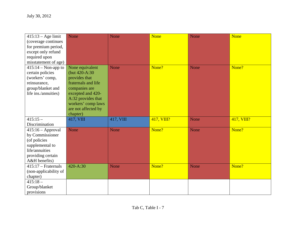| $415:13 - Age$ limit  | None                | None      | <b>None</b> | None | <b>None</b> |
|-----------------------|---------------------|-----------|-------------|------|-------------|
| (coverage continues   |                     |           |             |      |             |
| for premium period,   |                     |           |             |      |             |
| except only refund    |                     |           |             |      |             |
| required upon         |                     |           |             |      |             |
| misstatement of age)  |                     |           |             |      |             |
| $415:14 - Non-app$ to | None equivalent     | None      | None?       | None | None?       |
| certain policies      | (but 420-A:30)      |           |             |      |             |
| (workers' comp,       | provides that       |           |             |      |             |
| reinsurance,          | fraternals and life |           |             |      |             |
| group/blanket and     | companies are       |           |             |      |             |
| life ins./annuities)  | excepted and 420-   |           |             |      |             |
|                       | A:32 provides that  |           |             |      |             |
|                       | workers' comp laws  |           |             |      |             |
|                       | are not affected by |           |             |      |             |
|                       | chapter)            |           |             |      |             |
| $415:15-$             | 417, VIII           | 417, VIII | 417, VIII?  | None | 417, VIII?  |
| Discrimination        |                     |           |             |      |             |
| $415:16 - Approval$   | None                | None      | None?       | None | None?       |
| by Commissioner       |                     |           |             |      |             |
| (of policies          |                     |           |             |      |             |
| supplemental to       |                     |           |             |      |             |
| life/annuities        |                     |           |             |      |             |
| providing certain     |                     |           |             |      |             |
| A&H benefits)         |                     |           |             |      |             |
| $415:17$ – Fraternals | 420-A:30            | None      | None?       | None | None?       |
| (non-applicability of |                     |           |             |      |             |
| chapter)              |                     |           |             |      |             |
| $415:18-$             |                     |           |             |      |             |
| Group/blanket         |                     |           |             |      |             |
| provisions            |                     |           |             |      |             |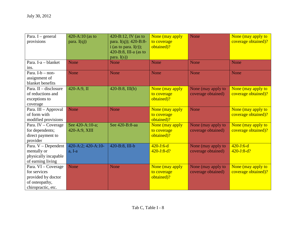| Para. I - general       | 420-A:10 (as to    | 420-B:12, IV (as to        | None (may apply | None               | None (may apply to  |
|-------------------------|--------------------|----------------------------|-----------------|--------------------|---------------------|
| provisions              | para. $I(q)$ )     | para. I(q)); 420-B:8-      | to coverage     |                    | coverage obtained)? |
|                         |                    | i (as to para. $I(r)$ );   | obtained)?      |                    |                     |
|                         |                    | $420 - B:8$ , III-a (as to |                 |                    |                     |
|                         |                    | para. $I(s)$               |                 |                    |                     |
| Para. I-a - blanket     | None               | <b>None</b>                | None            | None               | None                |
| ins.                    |                    |                            |                 |                    |                     |
| Para. $I-b - non-$      | None               | <b>None</b>                | None            | None               | <b>None</b>         |
| assignment of           |                    |                            |                 |                    |                     |
| blanket benefits        |                    |                            |                 |                    |                     |
| Para. $II -$ disclosure | 420-A:9, II        | $420 - B:8$ , III(b)       | None (may apply | None (may apply to | None (may apply to  |
| of reductions and       |                    |                            | to coverage     | coverage obtained) | coverage obtained)? |
| exceptions to           |                    |                            | obtained)?      |                    |                     |
| coverage                |                    |                            |                 |                    |                     |
| Para. III - Approval    | None               | None                       | None (may apply | None               | None (may apply to  |
| of form with            |                    |                            | to coverage     |                    | coverage obtained)? |
| modified provisions     |                    |                            | obtained)?      |                    |                     |
| Para. IV - Coverage     | See 420-A:10-a;    | See 420-B:8-aa             | None (may apply | None (may apply to | None (may apply to  |
| for dependents;         | 420-A:9, XIII      |                            | to coverage     | coverage obtained) | coverage obtained)? |
| direct payment to       |                    |                            | obtained)?      |                    |                     |
| provider                |                    |                            |                 |                    |                     |
| Para. V - Dependent     | 420-A:2; 420-A:10- | 420-B:8, III-b             | $420 - J:6-d$   | None (may apply to | $420 - J: 6-d$      |
| mentally or             | $a, I-a$           |                            | $420 - J:8-d?$  | coverage obtained) | $420 - J:8-d?$      |
| physically incapable    |                    |                            |                 |                    |                     |
| of earning living       |                    |                            |                 |                    |                     |
| Para. VI - Coverage     | None               | <b>None</b>                | None (may apply | None (may apply to | None (may apply to  |
| for services            |                    |                            | to coverage     | coverage obtained) | coverage obtained)? |
| provided by doctor      |                    |                            | obtained)?      |                    |                     |
| of osteopathy,          |                    |                            |                 |                    |                     |
| chiropractic, etc.      |                    |                            |                 |                    |                     |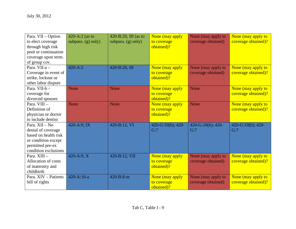| Para. VII - Option         | 420-A:2 (as to     | $420 - B:20$ , III (as to | None (may apply   | None (may apply to | None (may apply to  |
|----------------------------|--------------------|---------------------------|-------------------|--------------------|---------------------|
| to elect coverage          | subpara. (g) only) | subpara. $(g)$ only)      | to coverage       | coverage obtained) | coverage obtained)? |
| through high risk          |                    |                           | obtained)?        |                    |                     |
| pool or continuation       |                    |                           |                   |                    |                     |
| coverage upon term.        |                    |                           |                   |                    |                     |
| of group cov.              |                    |                           |                   |                    |                     |
| Para. VII-a -              | $420 - A:2$        | 420-B:20, III             | None (may apply   | None (may apply to | None (may apply to  |
| Coverage in event of       |                    |                           | to coverage       | coverage obtained) | coverage obtained)? |
| strike, lockout or         |                    |                           | obtained)?        |                    |                     |
| other labor dispute        |                    |                           |                   |                    |                     |
| Para. VII-b-               | None               | <b>None</b>               | None (may apply   | None               | None (may apply to  |
| coverage for               |                    |                           | to coverage       |                    | coverage obtained)? |
| divorced spouses           |                    |                           | obtained)?        |                    |                     |
| Para. VIII -               | None               | <b>None</b>               | None (may apply   | None               | None (may apply to  |
| Definition of              |                    |                           | to coverage       |                    | coverage obtained)? |
| physician or doctor        |                    |                           | obtained)?        |                    |                     |
| to include dentist         |                    |                           |                   |                    |                     |
| Para. XII - No             | 420-A:9, IX        | 420-B:12, VI              | 420-G:10(b); 420- | 420-G:10(b); 420-  | 420-G:10(b); 420-   |
| denial of coverage         |                    |                           | G:7               | G:7                | G:7                 |
| based on health risk       |                    |                           |                   |                    |                     |
| or condition except        |                    |                           |                   |                    |                     |
| permitted pre-ex           |                    |                           |                   |                    |                     |
| condition exclusions       |                    |                           |                   |                    |                     |
| Para, XIII -               | $420-A:9, X$       | 420-B:12, VII             | None (may apply   | None (may apply to | None (may apply to  |
| <b>Allocation of costs</b> |                    |                           | to coverage       | coverage obtained) | coverage obtained)? |
| of maternity and           |                    |                           | obtained)?        |                    |                     |
| childbirth                 |                    |                           |                   |                    |                     |
| Para. XIV - Patients       | $420 - A:16-a$     | $420 - B:8 - m$           | None (may apply   | None (may apply to | None (may apply to  |
| bill of rights             |                    |                           | to coverage       | coverage obtained) | coverage obtained)? |
|                            |                    |                           | obtained)?        |                    |                     |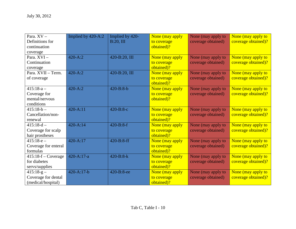| Para. XV-             | Implied by 420-A:2 | Implied by 420- | None (may apply | None (may apply to | None (may apply to  |
|-----------------------|--------------------|-----------------|-----------------|--------------------|---------------------|
| Definitions for       |                    | B:20, III       | to coverage     | coverage obtained) | coverage obtained)? |
| continuation          |                    |                 | obtained)?      |                    |                     |
| coverage              |                    |                 |                 |                    |                     |
| Para. XVI-            | $420 - A:2$        | 420-B:20, III   | None (may apply | None (may apply to | None (may apply to  |
| Continuation          |                    |                 | to coverage     | coverage obtained) | coverage obtained)? |
| coverage              |                    |                 | obtained)?      |                    |                     |
| Para, XVII - Term.    | $420 - A:2$        | 420-B:20, III   | None (may apply | None (may apply to | None (may apply to  |
| of coverage           |                    |                 | to coverage     | coverage obtained) | coverage obtained)? |
|                       |                    |                 | obtained)?      |                    |                     |
| $415:18-a-$           | $420 - A:2$        | $420 - B: 8-b$  | None (may apply | None (may apply to | None (may apply to  |
| Coverage for          |                    |                 | to coverage     | coverage obtained) | coverage obtained)? |
| mental/nervous        |                    |                 | obtained)?      |                    |                     |
| conditions            |                    |                 |                 |                    |                     |
| $415:18-b -$          | 420-A:11           | 420-B:8-c       | None (may apply | None (may apply to | None (may apply to  |
| Cancellation/non-     |                    |                 | to coverage     | coverage obtained) | coverage obtained)? |
| renewal               |                    |                 | obtained)?      |                    |                     |
| $415:18-d -$          | $420 - A:14$       | $420 - B:8-f$   | None (may apply | None (may apply to | None (may apply to  |
| Coverage for scalp    |                    |                 | to coverage     | coverage obtained) | coverage obtained)? |
| hair prostheses       |                    |                 | obtained)?      |                    |                     |
| $415:18-e-$           | 420-A:17           | $420 - B:8-ff$  | None (may apply | None (may apply to | None (may apply to  |
| Coverage for enteral  |                    |                 | to coverage     | coverage obtained) | coverage obtained)? |
| formulas              |                    |                 | obtained)?      |                    |                     |
| $415:18-f$ – Coverage | $420 - A:17-a$     | $420 - B:8-k$   | None (may apply | None (may apply to | None (may apply to  |
| for diabetes          |                    |                 | to coverage     | coverage obtained) | coverage obtained)? |
| servs/supplies        |                    |                 | obtained)?      |                    |                     |
| $415:18-g-$           | $420 - A:17-b$     | 420-B:8-ee      | None (may apply | None (may apply to | None (may apply to  |
| Coverage for dental   |                    |                 | to coverage     | coverage obtained) | coverage obtained)? |
| (medical/hospital)    |                    |                 | obtained)?      |                    |                     |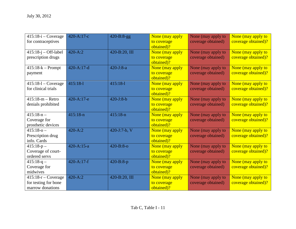| $415:18-i$ – Coverage<br>for contraceptives                              | 420-A:17-c     | $420 - B:8-gg$   | None (may apply<br>to coverage                             | None (may apply to<br>coverage obtained) | None (may apply to<br>coverage obtained)? |
|--------------------------------------------------------------------------|----------------|------------------|------------------------------------------------------------|------------------------------------------|-------------------------------------------|
| $415:18-j$ - Off-label<br>prescription drugs                             | $420 - A:2$    | 420-B:20, III    | obtained)?<br>None (may apply<br>to coverage<br>obtained)? | None (may apply to<br>coverage obtained) | None (may apply to<br>coverage obtained)? |
| $415:18-k - Prompt$<br>payment                                           | $420 - A:17-d$ | $420 - J: 8-a$   | None (may apply<br>to coverage<br>obtained)?               | None (may apply to<br>coverage obtained) | None (may apply to<br>coverage obtained)? |
| $415:18-1$ - Coverage<br>for clinical trials                             | $415:18-1$     | $415:18-1$       | None (may apply<br>to coverage<br>obtained)?               | None (may apply to<br>coverage obtained) | None (may apply to<br>coverage obtained)? |
| $415:18-m - Retro$<br>denials prohibited                                 | 420-A:17-e     | $420 - J:8-b$    | None (may apply<br>to coverage<br>obtained)?               | None (may apply to<br>coverage obtained) | None (may apply to<br>coverage obtained)? |
| $415:18-n-$<br>Coverage for<br>prosthetic devices                        | $415:18-n$     | $415:18-n$       | None (may apply<br>to coverage<br>obtained)?               | None (may apply to<br>coverage obtained) | None (may apply to<br>coverage obtained)? |
| $415:18-0-$<br>Prescription drug<br>info. Cards                          | $420 - A:2$    | 420-J:7-b, V     | None (may apply<br>to coverage<br>obtained)?               | None (may apply to<br>coverage obtained) | None (may apply to<br>coverage obtained)? |
| $415:18-p-$<br>Coverage of court-<br>ordered servs                       | $420 - A:15-a$ | $420 - B: 8 - O$ | None (may apply<br>to coverage<br>obtained)?               | None (may apply to<br>coverage obtained) | None (may apply to<br>coverage obtained)? |
| $415:18-q$ –<br>Coverage for<br>midwives                                 | $420 - A:17-f$ | 420-B:8-p        | None (may apply<br>to coverage<br>obtained)?               | None (may apply to<br>coverage obtained) | None (may apply to<br>coverage obtained)? |
| $415:18-r - \text{Coverage}$<br>for testing for bone<br>marrow donations | $420 - A:2$    | 420-B:20, III    | None (may apply<br>to coverage<br>obtained)?               | None (may apply to<br>coverage obtained) | None (may apply to<br>coverage obtained)? |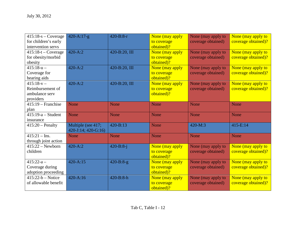| $415:18-s - \text{Coverage}$ | $420 - A:17-g$              | $420 - B:8-r$   | None (may apply | None (may apply to | None (may apply to  |
|------------------------------|-----------------------------|-----------------|-----------------|--------------------|---------------------|
| for children's early         |                             |                 | to coverage     | coverage obtained) | coverage obtained)? |
| intervention servs           |                             |                 | obtained)?      |                    |                     |
| $415:18-t$ – Coverage        | $420 - A:2$                 | 420-B:20, III   | None (may apply | None (may apply to | None (may apply to  |
| for obesity/morbid           |                             |                 | to coverage     | coverage obtained) | coverage obtained)? |
| obesity                      |                             |                 | obtained)?      |                    |                     |
| $415:18-u -$                 | $420 - A:2$                 | 420-B:20, III   | None (may apply | None (may apply to | None (may apply to  |
| Coverage for                 |                             |                 | to coverage     | coverage obtained) | coverage obtained)? |
| hearing aids                 |                             |                 | obtained)?      |                    |                     |
| $415:18-v -$                 | $420 - A:2$                 | 420-B:20, III   | None (may apply | None (may apply to | None (may apply to  |
| Reimbursement of             |                             |                 | to coverage     | coverage obtained) | coverage obtained)? |
| ambulance serv               |                             |                 | obtained)?      |                    |                     |
| providers                    |                             |                 |                 |                    |                     |
| $415:19$ – Franchise         | None                        | <b>None</b>     | None            | None               | <b>None</b>         |
| plan                         |                             |                 |                 |                    |                     |
| $415:19-a - Student$         | None                        | None            | None            | None               | None                |
| insurance                    |                             |                 |                 |                    |                     |
| $415:20$ – Penalty           | Multiple (see 417;          | $420 - B:13$    | None            | $420-M:3$          | $415-E:14$          |
|                              | $420 - J:14$ ; $420 - G:16$ |                 |                 |                    |                     |
| $415:21 -$ Ins.              | None                        | None            | None            | None               | None                |
| through joint action         |                             |                 |                 |                    |                     |
| $415:22 - Newton$            | $420 - A:2$                 | $420 - B:8 - j$ | None (may apply | None (may apply to | None (may apply to  |
| children                     |                             |                 | to coverage     | coverage obtained) | coverage obtained)? |
|                              |                             |                 | obtained)?      |                    |                     |
| $415:22-a-$                  | $420 - A:15$                | $420 - B:8-g$   | None (may apply | None (may apply to | None (may apply to  |
| Coverage during              |                             |                 | to coverage     | coverage obtained) | coverage obtained)? |
| adoption proceeding          |                             |                 | obtained)?      |                    |                     |
| $415:22-b - Notice$          | $420 - A:16$                | 420-B:8-h       | None (may apply | None (may apply to | None (may apply to  |
| of allowable benefit         |                             |                 | to coverage     | coverage obtained) | coverage obtained)? |
|                              |                             |                 | obtained)?      |                    |                     |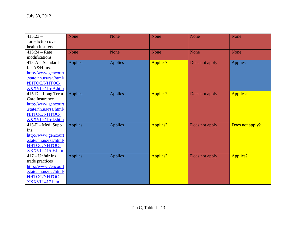| $415:23-$              | <b>None</b>    | None           | None        | None           | None            |
|------------------------|----------------|----------------|-------------|----------------|-----------------|
| Jurisdiction over      |                |                |             |                |                 |
| health insurers        |                |                |             |                |                 |
| $415:24 - Rate$        | <b>None</b>    | None           | <b>None</b> | None           | None            |
| modifications          |                |                |             |                |                 |
| $415-A - Standards$    | <b>Applies</b> | <b>Applies</b> | Applies?    | Does not apply | <b>Applies</b>  |
| for A&H Ins.           |                |                |             |                |                 |
| http://www.gencourt    |                |                |             |                |                 |
| .state.nh.us/rsa/html/ |                |                |             |                |                 |
| NHTOC/NHTOC-           |                |                |             |                |                 |
| XXXVII-415-A.htm       |                |                |             |                |                 |
| $415-D - Long Term$    | <b>Applies</b> | <b>Applies</b> | Applies?    | Does not apply | <b>Applies?</b> |
| Care Insurance         |                |                |             |                |                 |
| http://www.gencourt    |                |                |             |                |                 |
| .state.nh.us/rsa/html/ |                |                |             |                |                 |
| NHTOC/NHTOC-           |                |                |             |                |                 |
| XXXVII-415-D.htm       |                |                |             |                |                 |
| $415-F - Med. Supp.$   | <b>Applies</b> | <b>Applies</b> | Applies?    | Does not apply | Does not apply? |
| Ins.                   |                |                |             |                |                 |
| http://www.gencourt    |                |                |             |                |                 |
| state.nh.us/rsa/html/  |                |                |             |                |                 |
| NHTOC/NHTOC-           |                |                |             |                |                 |
| XXXVII-415-F.htm       |                |                |             |                |                 |
| $417 - Unfair$ ins.    | <b>Applies</b> | <b>Applies</b> | Applies?    | Does not apply | Applies?        |
| trade practices        |                |                |             |                |                 |
| http://www.gencourt    |                |                |             |                |                 |
| .state.nh.us/rsa/html/ |                |                |             |                |                 |
| NHTOC/NHTOC-           |                |                |             |                |                 |
| XXXVII-417.htm         |                |                |             |                |                 |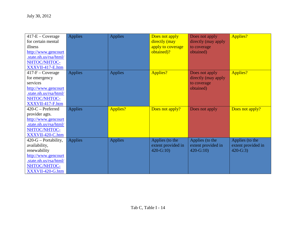| $417-E$ – Coverage                            | <b>Applies</b> | <b>Applies</b> | Does not apply                        | Does not apply      | Applies?           |
|-----------------------------------------------|----------------|----------------|---------------------------------------|---------------------|--------------------|
| for certain mental                            |                |                | directly (may                         | directly (may apply |                    |
| illness                                       |                |                | apply to coverage                     | to coverage         |                    |
| http://www.gencourt<br>.state.nh.us/rsa/html/ |                |                | obtained)?                            | obtained)           |                    |
| NHTOC/NHTOC-                                  |                |                |                                       |                     |                    |
| XXXVII-417-E.htm                              |                |                |                                       |                     |                    |
| $417-F$ – Coverage                            | <b>Applies</b> | <b>Applies</b> | <b>Applies?</b>                       | Does not apply      | Applies?           |
| for emergency                                 |                |                |                                       | directly (may apply |                    |
| services                                      |                |                |                                       | to coverage         |                    |
| http://www.gencourt                           |                |                |                                       | obtained)           |                    |
| .state.nh.us/rsa/html/                        |                |                |                                       |                     |                    |
| NHTOC/NHTOC-                                  |                |                |                                       |                     |                    |
| XXXVII-417-F.htm                              |                |                |                                       |                     |                    |
|                                               |                |                |                                       |                     |                    |
|                                               |                |                |                                       |                     |                    |
| $420$ -C – Preferred                          | <b>Applies</b> | Applies?       | Does not apply?                       | Does not apply      | Does not apply?    |
| provider agts.                                |                |                |                                       |                     |                    |
| http://www.gencourt                           |                |                |                                       |                     |                    |
| .state.nh.us/rsa/html/<br>NHTOC/NHTOC-        |                |                |                                       |                     |                    |
| XXXVII-420-C.htm                              |                |                |                                       |                     |                    |
| $420-G -$ Portability,                        | <b>Applies</b> | <b>Applies</b> |                                       | Applies (to the     | Applies (to the    |
| availability,                                 |                |                | Applies (to the<br>extent provided in | extent provided in  | extent provided in |
| renewability                                  |                |                | $420 - G:10$                          | $420 - G:10$        | $420 - G:3$        |
| http://www.gencourt                           |                |                |                                       |                     |                    |
| state.nh.us/rsa/html/                         |                |                |                                       |                     |                    |
| NHTOC/NHTOC-                                  |                |                |                                       |                     |                    |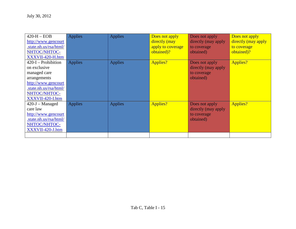| $420-H - EOB$          | <b>Applies</b> | <b>Applies</b> | Does not apply    | Does not apply      | Does not apply      |
|------------------------|----------------|----------------|-------------------|---------------------|---------------------|
| http://www.gencourt    |                |                | directly (may     | directly (may apply | directly (may apply |
| .state.nh.us/rsa/html/ |                |                | apply to coverage | to coverage         | to coverage         |
| NHTOC/NHTOC-           |                |                | obtained)?        | obtained)           | obtained)?          |
| XXXVII-420-H.htm       |                |                |                   |                     |                     |
| $420-I -$ Prohibition  | <b>Applies</b> | <b>Applies</b> | Applies?          | Does not apply      | Applies?            |
| on exclusive           |                |                |                   | directly (may apply |                     |
| managed care           |                |                |                   | to coverage         |                     |
| arrangements           |                |                |                   | obtained)           |                     |
| http://www.gencourt    |                |                |                   |                     |                     |
| .state.nh.us/rsa/html/ |                |                |                   |                     |                     |
| NHTOC/NHTOC-           |                |                |                   |                     |                     |
| XXXVII-420-I.htm       |                |                |                   |                     |                     |
| $420 - J - Managed$    | <b>Applies</b> | <b>Applies</b> | Applies?          | Does not apply      | Applies?            |
| care law               |                |                |                   | directly (may apply |                     |
| http://www.gencourt    |                |                |                   | to coverage         |                     |
| .state.nh.us/rsa/html/ |                |                |                   | obtained)           |                     |
| NHTOC/NHTOC-           |                |                |                   |                     |                     |
| XXXVII-420-J.htm       |                |                |                   |                     |                     |
|                        |                |                |                   |                     |                     |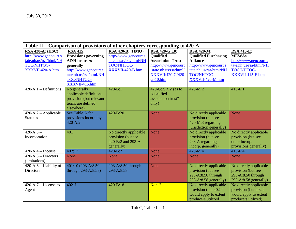| Table II – Comparison of provisions of other chapters corresponding to 420-A                                                          |                                                                                                                                                                                           |                                                                                                                             |                                                                                                                                                                                |                                                                                                                                                                       |                                                                                                                                     |  |
|---------------------------------------------------------------------------------------------------------------------------------------|-------------------------------------------------------------------------------------------------------------------------------------------------------------------------------------------|-----------------------------------------------------------------------------------------------------------------------------|--------------------------------------------------------------------------------------------------------------------------------------------------------------------------------|-----------------------------------------------------------------------------------------------------------------------------------------------------------------------|-------------------------------------------------------------------------------------------------------------------------------------|--|
| <b>RSA 420-A: (HSC)</b><br>http://www.gencourt.s<br>tate.nh.us/rsa/html/NH<br>TOC/NHTOC-<br>XXXVII-420-A.htm<br>$420-A:1-Definitions$ | <b>RSA 415:</b><br><b>Provisions governing</b><br><b>A&amp;H</b> insurers<br>generally<br>http://www.gencourt.s<br>tate.nh.us/rsa/html/NH<br>TOC/NHTOC-<br>XXXVII-415.htm<br>No generally | <b>RSA 420-B: (HMO)</b><br>http://www.gencourt.s<br>tate.nh.us/rsa/html/NH<br>TOC/NHTOC-<br>XXXVII-420-B.htm<br>$420 - B:1$ | RSA 420-G:10:<br><b>Qualified</b><br><b>Association Trust</b><br>http://www.gencourt<br>.state.nh.us/rsa/html/<br><b>XXXVII/420-G/420-</b><br>$G-10.htm$<br>420-G:2, XV (as to | <b>RSA 420-M:</b><br><b>Qualified Purchasing</b><br><b>Alliance</b><br>http://www.gencourt.s<br>tate.nh.us/rsa/html/NH<br>TOC/NHTOC-<br>XXXVII-420-M.htm<br>$420-M:2$ | <b>RSA 415-E:</b><br><b>MEWAs</b><br>http://www.gencourt.s<br>tate.nh.us/rsa/html/NH<br>TOC/NHTOC-<br>XXXVII-415-E.htm<br>$415-E:1$ |  |
|                                                                                                                                       | applicable definitions<br>provision (but relevant<br>terms are defined<br>elsewhere)                                                                                                      |                                                                                                                             | "qualified<br>association trust"<br>only)                                                                                                                                      |                                                                                                                                                                       |                                                                                                                                     |  |
| 420-A:2 - Applicable<br><b>Statutes</b>                                                                                               | See Table A for<br>provisions incorp. by<br>$420 - A:2$                                                                                                                                   | $420 - B:20$                                                                                                                | None                                                                                                                                                                           | No directly applicable<br>provision (but see<br>420-M:3 regarding<br>jurisdiction generally)                                                                          | None                                                                                                                                |  |
| $420 - A:3 -$<br>Incorporation                                                                                                        | 401                                                                                                                                                                                       | No directly applicable<br>provision (but see<br>420-B:2 and 293-A<br>generally)                                             | None                                                                                                                                                                           | No directly applicable<br>provision (but see<br>293-A regarding<br>incorp. generally)                                                                                 | No directly applicable<br>provision (but see<br>other incorp.<br>provisions generally)                                              |  |
| $420-A:4-License$                                                                                                                     | 402:12                                                                                                                                                                                    | $420 - B:2$                                                                                                                 | None                                                                                                                                                                           | $420-M:4$                                                                                                                                                             | 415-E:4                                                                                                                             |  |
| $420-A:5-Directors$<br>(limitations)                                                                                                  | <b>None</b>                                                                                                                                                                               | <b>None</b>                                                                                                                 | None                                                                                                                                                                           | <b>None</b>                                                                                                                                                           | <b>None</b>                                                                                                                         |  |
| 420-A:6 - Liability of<br><b>Directors</b>                                                                                            | 401:10 (293-A:8.50)<br>through 293-A:8.58)                                                                                                                                                | 293-A:8.50 through<br>293-A:8.58                                                                                            | <b>None</b>                                                                                                                                                                    | No directly applicable<br>provision (but see<br>293-A:8.50 through<br>293-A:8.58 generally)                                                                           | No directly applicable<br>provision (but see<br>293-A:8.50 through<br>293-A:8.58 generally)                                         |  |
| $420-A:7$ – License to<br>Agent                                                                                                       | $402-J$                                                                                                                                                                                   | 420-B:18                                                                                                                    | None?                                                                                                                                                                          | No directly applicable<br>provision (but 402-J<br>would apply to extent<br>producers utilized)                                                                        | No directly applicable<br>provision (but 402-J<br>would apply to extent<br>producers utilized)                                      |  |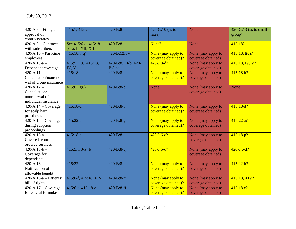| $420-A:8 - Filing$ and            | 415:1, 415:2         | $420 - B:8$          | 420-G:10 (as to     | <b>None</b>        | $420-G:13$ (as to small |
|-----------------------------------|----------------------|----------------------|---------------------|--------------------|-------------------------|
| approval of                       |                      |                      | rates)              |                    | group)                  |
| contracts/rates                   |                      |                      |                     |                    |                         |
| $420-A:9$ – Contracts             | See 415:6-d, 415:18  | $420 - B:8$          | None?               | <b>None</b>        | 415:18?                 |
| with subscribers                  | para. II, XII, XIII  |                      |                     |                    |                         |
| $420-A:10-Part-time$              | 415:18, I(q)         | 420-B:12, IV         | None (may apply to  | None (may apply to | 415:18, I(q)?           |
| employees                         |                      |                      | coverage obtained)? | coverage obtained) |                         |
| $420 - A:10-a$                    | 415:5, I(3), 415:18, | 420-B:8, III-b, 420- | $420 - J:8-d?$      | None (may apply to | 415:18, IV, V?          |
| Dependent coverage                | IV, V                | $B:8$ -aa            |                     | coverage obtained) |                         |
| $420 - A:11 -$                    | $415:18-b$           | $420 - B:8 - c$      | None (may apply to  | None (may apply to | $415:18-b?$             |
| Cancellation/nonrene              |                      |                      | coverage obtained)? | coverage obtained) |                         |
| wal of group insurance            |                      |                      |                     |                    |                         |
| $420 - A: 12 -$                   | $415:6$ , II(8)      | $420 - B:8-d$        | None                | None (may apply to | None                    |
| Cancellation/                     |                      |                      |                     | coverage obtained) |                         |
| nonrenewal of                     |                      |                      |                     |                    |                         |
| individual insurance              |                      |                      |                     |                    |                         |
| $420-A:14-Coverage$               | $415:18-d$           | $420 - B:8-f$        | None (may apply to  | None (may apply to | $415:18-d?$             |
| for scalp hair                    |                      |                      | coverage obtained)? | coverage obtained) |                         |
| prostheses                        |                      |                      |                     |                    |                         |
| $420-A:15-Coverage$               | $415:22-a$           | $420 - B:8-g$        | None (may apply to  | None (may apply to | $415:22-a?$             |
| during adoption                   |                      |                      | coverage obtained)? | coverage obtained) |                         |
| proceedings                       |                      |                      |                     |                    |                         |
| $420 - A:15-a -$                  | $415:18-p$           | $420 - B: 8 - O$     | $420 - J:6 - c?$    | None (may apply to | $415:18-p?$             |
| Covered, court-                   |                      |                      |                     | coverage obtained) |                         |
| ordered services                  |                      |                      |                     |                    |                         |
| $420 - A: 15 - b -$               | 415:5, $I(3-a)(b)$   | $420 - B:8 - q$      | $420 - J:6-d?$      | None (may apply to | $420 - J:6-d?$          |
| Coverage for                      |                      |                      |                     | coverage obtained) |                         |
| dependents                        |                      |                      |                     |                    |                         |
| $420 - A:16 -$                    | 415:22-b             | 420-B:8-h            | None (may apply to  | None (may apply to | $415:22-b?$             |
| Notification of                   |                      |                      | coverage obtained)? | coverage obtained) |                         |
| allowable benefit                 |                      |                      |                     |                    |                         |
| $420-A:16-a - Patients'$          | 415:6-f, 415:18, XIV | 420-B:8-m            | None (may apply to  | None (may apply to | 415:18, XIV?            |
| bill of rights                    |                      |                      | coverage obtained)? | coverage obtained) |                         |
| $\overline{420}$ -A:17 – Coverage | 415:6-с, 415:18-е    | 420-B:8-ff           | None (may apply to  | None (may apply to | $415:18-e?$             |
| for enteral formulas              |                      |                      | coverage obtained)? | coverage obtained) |                         |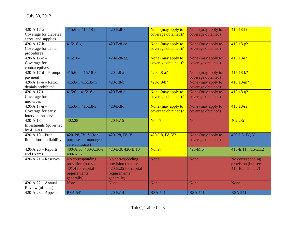| $420 - A:17-a$           | 415:6-e, 415:18-f     | $420 - B:8-k$        | None (may apply to  | None (may apply to | $415:18-f?$        |
|--------------------------|-----------------------|----------------------|---------------------|--------------------|--------------------|
| Coverage for diabetes    |                       |                      | coverage obtained)? | coverage obtained) |                    |
| servs. and supplies      |                       |                      |                     |                    |                    |
| $420 - A:17-b -$         | $415:18-g$            | 420-B:8-ee           | None (may apply to  | None (may apply to | $415:18-g?$        |
| Coverage for dental      |                       |                      | coverage obtained)? | coverage obtained) |                    |
| procedures               |                       |                      |                     |                    |                    |
| $420 - A:17-c -$         | $415:18-i$            | $420 - B:8-gg$       | None (may apply to  | None (may apply to | $415:18-i?$        |
| Coverage for             |                       |                      | coverage obtained)? | coverage obtained) |                    |
| contraceptives           |                       |                      |                     |                    |                    |
| $420-A:17-d$ - Prompt    | 415:6-h, 415:18-k     | $420 - J:8-a$        | $420 - J:8 - a?$    | None (may apply to | $415:18-k?$        |
| payment                  |                       |                      |                     | coverage obtained) |                    |
| $420-A:17-e - Retro.$    | 415:6-i, 415:18-m     | $420 - J:8-b$        | $420 - J:8-b?$      | None (may apply to | $415:18-m?$        |
| denials prohibited       |                       |                      |                     | coverage obtained) |                    |
| $420-A:17-f-$            | 415:6-1, 415:18-q     | $420 - B:8-p$        | None (may apply to  | None (may apply to | $415:18-q?$        |
| Coverage for             |                       |                      | coverage obtained)? | coverage obtained) |                    |
| midwives                 |                       |                      |                     |                    |                    |
| $420-A:17-g-$            | 415:6-n, 415:18-s     | $420 - B:8-r$        | None (may apply to  | None (may apply to | $415:18-s?$        |
| Coverage for early       |                       |                      | coverage obtained)? | coverage obtained) |                    |
| intervention servs.      |                       |                      |                     |                    |                    |
| $420 - A:18 -$           | 402:28                | 420-B:15             | None?               | <b>None</b>        | 402:28?            |
| Investments (governed    |                       |                      |                     |                    |                    |
| by $411-A$ )             |                       |                      |                     |                    |                    |
| $420-A:19-Proh.$         | 420-J:8, IV, V (for   | 420-J:8, IV, V       | $420 - J:8, IV, V?$ | None (may apply to | 420-J:8, IV, V     |
| limitations on liability | purposes of managed   |                      |                     | coverage obtained) |                    |
|                          | care contracts)       |                      |                     |                    |                    |
| $420-A:20$ – Reports     | 400-A:36, 400-A:36-a, | 420-B:9, 420-B:10    | None?               | $420 - M:5$        | 415-E:11; 415-E:12 |
| and Exams                | 400-A:37              |                      |                     |                    |                    |
| $420-A:21 - Reserves$    | No corresponding      | No corresponding     | <b>None</b>         | None               | No corresponding   |
|                          | provision (but see    | provision (but see   |                     |                    | provision (but see |
|                          | 401:4 for capital     | 420-B:25 for capital |                     |                    | 415-E:5, 6 and 7)  |
|                          | requirements          | requirements         |                     |                    |                    |
|                          | generally)            | generally)           |                     |                    |                    |
| $420 - A:22 - Annual$    | <b>None</b>           | <b>None</b>          | None                | None               | <b>None</b>        |
| Review (of rates)        |                       |                      |                     |                    |                    |
| $420-A:23 - Appeals$     | <b>RSA 541</b>        | $420 - B:14$         | <b>RSA 541</b>      | <b>RSA 541</b>     | <b>RSA 541</b>     |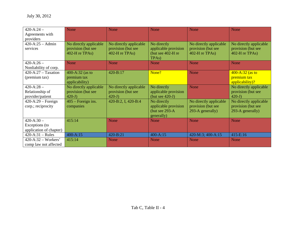| $420 - A:24 -$          | None                   | <b>None</b>            | <b>None</b>          | None                   | <b>None</b>            |
|-------------------------|------------------------|------------------------|----------------------|------------------------|------------------------|
| Agreements with         |                        |                        |                      |                        |                        |
| providers               |                        |                        |                      |                        |                        |
| $420-A:25 - Admin$      | No directly applicable | No directly applicable | No directly          | No directly applicable | No directly applicable |
| services                | provision (but see     | provision (but see     | applicable provision | provision (but see     | provision (but see     |
|                         | $402-H$ re TPAs)       | $402-H$ re TPAs)       | (but see 402-H re    | $402-H$ re TPAs)       | 402-H re TPAs)         |
|                         |                        |                        | TPA <sub>s</sub> )   |                        |                        |
| $420 - A:26 -$          | None                   | <b>None</b>            | <b>None</b>          | None                   | <b>None</b>            |
| Nonliability of corp.   |                        |                        |                      |                        |                        |
| $420-A:27-Taxation$     | 400-A:32 (as to        | 420-B:17               | None?                | None                   | $400 - A:32$ (as to    |
| (premium tax)           | premium tax            |                        |                      |                        | premium tax            |
|                         | applicability)         |                        |                      |                        | applicability)?        |
| $420 - A:28 -$          | No directly applicable | No directly applicable | No directly          | <b>None</b>            | No directly applicable |
| Relationship of         | provision (but see     | provision (but see     | applicable provision |                        | provision (but see     |
| provider/patient        | $420-J$ )              | $420-J$                | (but see $420-J$ )   |                        | $420-J$                |
| $420-A:29$ – Foreign    | $405$ – Foreign ins.   | 420-B:2, I, 420-B:4    | No directly          | No directly applicable | No directly applicable |
| corp.; reciprocity      | companies              |                        | applicable provision | provision (but see     | provision (but see     |
|                         |                        |                        | (but see 293-A       | 293-A generally)       | 293-A generally)       |
|                         |                        |                        | generally)           |                        |                        |
| $420 - A:30 -$          | 415:14                 | <b>None</b>            | <b>None</b>          | <b>None</b>            | <b>None</b>            |
| Exceptions (to          |                        |                        |                      |                        |                        |
| application of chapter) |                        |                        |                      |                        |                        |
| $420-A:31 - Rules$      | $400 - A:15$           | 420-B:21               | $400 - A:15$         | 420-M:3; 400-A:15      | 415-E:16               |
| $420-A:32-Workers'$     | 415:14                 | None                   | <b>None</b>          | None                   | <b>None</b>            |
| comp law not affected   |                        |                        |                      |                        |                        |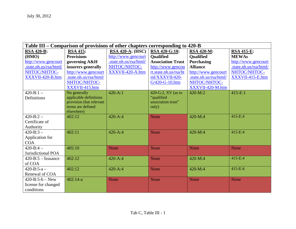| Table III – Comparison of provisions of other chapters corresponding to 420-B |                         |                        |                          |                        |                        |  |  |
|-------------------------------------------------------------------------------|-------------------------|------------------------|--------------------------|------------------------|------------------------|--|--|
| <b>RSA 420-B:</b>                                                             | <b>RSA 415:</b>         | $RSA 420-A: (HSC)$     | <b>RSA 420-G:10:</b>     | <b>RSA 420-M:</b>      | <b>RSA 415-E:</b>      |  |  |
| (HMO)                                                                         | <b>Provisions</b>       | http://www.gencourt    | <b>Qualified</b>         | <b>Qualified</b>       | <b>MEWAs</b>           |  |  |
| http://www.gencourt                                                           | governing A&H           | .state.nh.us/rsa/html/ | <b>Association Trust</b> | <b>Purchasing</b>      | http://www.gencourt    |  |  |
| .state.nh.us/rsa/html/                                                        | insurers generally      | NHTOC/NHTOC-           | http://www.gencou        | <b>Alliance</b>        | .state.nh.us/rsa/html/ |  |  |
| NHTOC/NHTOC-                                                                  | http://www.gencourt     | XXXVII-420-A.htm       | rt.state.nh.us/rsa/ht    | http://www.gencourt    | NHTOC/NHTOC-           |  |  |
| XXXVII-420-B.htm                                                              | .state.nh.us/rsa/html/  |                        | ml/XXXVII/420-           | .state.nh.us/rsa/html/ | XXXVII-415-E.htm       |  |  |
|                                                                               | NHTOC/NHTOC-            |                        | G/420-G-10.htm           | NHTOC/NHTOC-           |                        |  |  |
|                                                                               | XXXVII-415.htm          |                        |                          | XXXVII-420-M.htm       |                        |  |  |
| $420 - B:1 -$                                                                 | No generally            | $420 - A:1$            | 420-G:2, XV (as to       | $420-M:2$              | $415-E:1$              |  |  |
| Definitions                                                                   | applicable definitions  |                        | "qualified               |                        |                        |  |  |
|                                                                               | provision (but relevant |                        | association trust"       |                        |                        |  |  |
|                                                                               | terms are defined       |                        | only)                    |                        |                        |  |  |
|                                                                               | elsewhere)              |                        |                          |                        | 415-E:4                |  |  |
| $420 - B:2 -$                                                                 | 402:12                  | $420 - A:4$            | None                     | 420-M:4                |                        |  |  |
| Certificate of                                                                |                         |                        |                          |                        |                        |  |  |
| Authority                                                                     |                         |                        |                          |                        |                        |  |  |
| $420 - B:3 -$                                                                 | 402:11                  | $420 - A:4$            | None                     | 420-M:4                | 415-E:4                |  |  |
| Application for                                                               |                         |                        |                          |                        |                        |  |  |
| <b>COA</b>                                                                    |                         |                        |                          |                        |                        |  |  |
| $420 - B:4 -$                                                                 | 405:10                  | None                   | None                     | None                   | <b>None</b>            |  |  |
| Jurisdictional POA                                                            |                         |                        |                          |                        |                        |  |  |
| $420 - B:5 - Issuance$                                                        | 402:12                  | $420 - A:4$            | None                     | $420-M:4$              | 415-E:4                |  |  |
| of COA                                                                        |                         |                        |                          |                        |                        |  |  |
| $420 - B:5 - a -$                                                             | 402:12                  | $420 - A:4$            | None                     | $420-M:4$              | 415-E:4                |  |  |
| Renewal of COA                                                                |                         |                        |                          |                        |                        |  |  |
| $420 - B:5 - b - New$                                                         | $402:14-a$              | None                   | None                     | None                   | <b>None</b>            |  |  |
| license for changed                                                           |                         |                        |                          |                        |                        |  |  |
| conditions                                                                    |                         |                        |                          |                        |                        |  |  |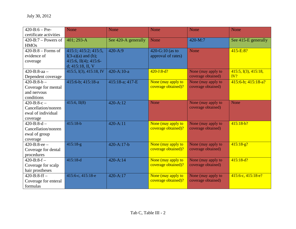| $420 - B:6 - Pre-$            | <b>None</b>             | None                | None                | None               | None                     |
|-------------------------------|-------------------------|---------------------|---------------------|--------------------|--------------------------|
| certificate activities        |                         |                     |                     |                    |                          |
| $420 - B$ :7 – Powers of      | 401; 293-A              | See 420-A generally | None                | 420-M:7            | See 415-E generally      |
| <b>HMOs</b>                   |                         |                     |                     |                    |                          |
| $420 - B:8 - \text{Forms of}$ | 415:1; 415:2; 415:5,    | $420 - A:9$         | 420-G:10 (as to     | None               | $415-E:8?$               |
| evidence of                   | $I(3-a)(a)$ and (b);    |                     | approval of rates)  |                    |                          |
| coverage                      | 415:6, II(4); 415:6-    |                     |                     |                    |                          |
|                               | d; $415:18$ , II, V     |                     |                     |                    |                          |
| $420 - B: 8 - aa -$           | 415:5, I(3), 415:18, IV | $420 - A:10-a$      | $420 - J:8-d?$      | None (may apply to | 415:5, I(3), 415:18,     |
| Dependent coverage            |                         |                     |                     | coverage obtained) | IV?                      |
| $420 - B: 8-b -$              | 415:6-b; 415:18-a       | 415:18-a; 417-E     | None (may apply to  | None (may apply to | $415:6-b$ ; $415:18-a$ ? |
| Coverage for mental           |                         |                     | coverage obtained)? | coverage obtained) |                          |
| and nervous                   |                         |                     |                     |                    |                          |
| conditions                    |                         |                     |                     |                    |                          |
| $420 - B:8 - c -$             | $415:6$ , II(8)         | $420 - A:12$        | <b>None</b>         | None (may apply to | None                     |
| Cancellation/nonren           |                         |                     |                     | coverage obtained) |                          |
| ewal of individual            |                         |                     |                     |                    |                          |
| coverage                      |                         |                     |                     |                    |                          |
| $420 - B: 8-d -$              | $415:18-b$              | $420 - A:11$        | None (may apply to  | None (may apply to | $415:18-b?$              |
| Cancellation/nonren           |                         |                     | coverage obtained)? | coverage obtained) |                          |
| ewal of group                 |                         |                     |                     |                    |                          |
| coverage                      |                         |                     |                     |                    |                          |
| $420 - B: 8 - ee -$           | $415:18-g$              | 420-A:17-b          | None (may apply to  | None (may apply to | $415:18-g?$              |
| Coverage for dental           |                         |                     | coverage obtained)? | coverage obtained) |                          |
| procedures                    |                         |                     |                     |                    |                          |
| $420 - B:8-f -$               | $415:18-d$              | $420 - A:14$        | None (may apply to  | None (may apply to | $415:18-d?$              |
| Coverage for scalp            |                         |                     | coverage obtained)? | coverage obtained) |                          |
| hair prostheses               |                         |                     |                     |                    |                          |
| $420 - B: 8 - ff -$           | 415:6-с, 415:18-е       | $420 - A:17$        | None (may apply to  | None (may apply to | 415:6-c, 415:18-e?       |
| Coverage for enteral          |                         |                     | coverage obtained)? | coverage obtained) |                          |
| formulas                      |                         |                     |                     |                    |                          |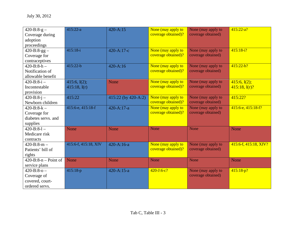| $420 - B:8-g$ –      | $415:22-a$           | 420-A:15            | None (may apply to  | None (may apply to | $415:22-a?$           |
|----------------------|----------------------|---------------------|---------------------|--------------------|-----------------------|
| Coverage during      |                      |                     | coverage obtained)? | coverage obtained) |                       |
| adoption             |                      |                     |                     |                    |                       |
| proceedings          |                      |                     |                     |                    |                       |
| $420 - B:8-gg -$     | $415:18-i$           | 420-A:17-c          | None (may apply to  | None (may apply to | $415:18-i?$           |
| Coverage for         |                      |                     | coverage obtained)? | coverage obtained) |                       |
| contraceptives       |                      |                     |                     |                    |                       |
| $420 - B: 8-h$       | $415:22-b$           | 420-A:16            | None (may apply to  | None (may apply to | $415:22-b?$           |
| Notification of      |                      |                     | coverage obtained)? | coverage obtained) |                       |
| allowable benefit    |                      |                     |                     |                    |                       |
| $420 - B: 8 - i -$   | 415:6, $I(2)$ ;      | <b>None</b>         | None (may apply to  | None (may apply to | 415:6, I(2);          |
| Incontestable        | $415:18$ , I(r)      |                     | coverage obtained)? | coverage obtained) | 415:18, I(r)?         |
| provision            |                      |                     |                     |                    |                       |
| $420 - B:8 - j -$    | 415:22               | 415:22 (by 420-A:2) | None (may apply to  | None (may apply to | 415:22?               |
| Newborn children     |                      |                     | coverage obtained)? | coverage obtained) |                       |
| $420 - B:8 - k -$    | 415:6-e, 415:18-f    | 420-A:17-a          | None (may apply to  | None (may apply to | 415:6-e, 415:18-f?    |
| Coverage for         |                      |                     | coverage obtained)? | coverage obtained) |                       |
| diabetes servs. and  |                      |                     |                     |                    |                       |
| supplies             |                      |                     |                     |                    |                       |
| $420 - B: 8 - 1 -$   | <b>None</b>          | None                | None                | None               | <b>None</b>           |
| Medicare risk        |                      |                     |                     |                    |                       |
| contracts            |                      |                     |                     |                    |                       |
| $420 - B:8 - m -$    | 415:6-f, 415:18, XIV | 420-A:16-a          | None (may apply to  | None (may apply to | 415:6-f, 415:18, XIV? |
| Patients' bill of    |                      |                     | coverage obtained)? | coverage obtained) |                       |
| rights               |                      |                     |                     |                    |                       |
| $420-B:8-n-Point of$ | None                 | None                | None                | None               | <b>None</b>           |
| service plans        |                      |                     |                     |                    |                       |
| $420 - B:8 - 0 -$    | 415:18-p             | 420-A:15-a          | $420 - J:6 - c?$    | None (may apply to | $415:18-p?$           |
| Coverage of          |                      |                     |                     | coverage obtained) |                       |
| covered, court-      |                      |                     |                     |                    |                       |
| ordered servs.       |                      |                     |                     |                    |                       |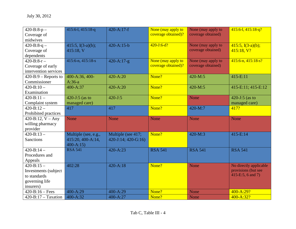| $420 - B:8-p -$          | 415:6-1, 415:18-q    | 420-A:17-f                  | None (may apply to  | None (may apply to | 415:6-1, 415:18-q?       |
|--------------------------|----------------------|-----------------------------|---------------------|--------------------|--------------------------|
| Coverage of              |                      |                             | coverage obtained)? | coverage obtained) |                          |
| midwives                 |                      |                             |                     |                    |                          |
| $420 - B:8 - q -$        | 415:5, $I(3-a)(b)$ ; | $420 - A:15-b$              | $420 - J: 6-d?$     | None (may apply to | $415:5, I(3-a)(b);$      |
| Coverage of              | 415:18, V            |                             |                     | coverage obtained) | 415:18, V?               |
| dependents               |                      |                             |                     |                    |                          |
| $420 - B: 8-r$           | 415:6-n, 415:18-s    | $420 - A:17-g$              | None (may apply to  | None (may apply to | $415:6-n$ , $415:18-s$ ? |
| Coverage of early        |                      |                             | coverage obtained)? | coverage obtained) |                          |
| intervention services    |                      |                             |                     |                    |                          |
| $420 - B:9 -$ Reports to | 400-A:36, 400-       | 420-A:20                    | None?               | 420-M:5            | 415-E:11                 |
| Commissioner             | $A:36-a$             |                             |                     |                    |                          |
| $420 - B:10 -$           | 400-A:37             | 420-A:20                    | None?               | 420-M:5            | 415-E:11; 415-E:12       |
| Examination              |                      |                             |                     |                    |                          |
| $420 - B:11 -$           | 420-J:5 (as to       | $420 - J:5$                 | None?               | None               | 420-J:5 (as to           |
| Complaint system         | managed care)        |                             |                     |                    | managed care)            |
| $420 - B: 12$            | 417                  | 417                         | None?               | 420-M:7            | 417?                     |
| Prohibited practices     |                      |                             |                     |                    |                          |
| 420-B:12, $V - Any$      | None                 | None                        | None                | None               | None                     |
| willing pharmacy         |                      |                             |                     |                    |                          |
|                          |                      |                             |                     |                    |                          |
| provider                 |                      |                             |                     |                    |                          |
| $420 - B:13 -$           | Multiple (see, e.g., | Multiple (see 417;          | None?               | $420-M:3$          | 415-E:14                 |
| <b>Sanctions</b>         | 415:20, 400-A:14,    | $420 - J:14$ ; $420 - G:16$ |                     |                    |                          |
|                          | $400 - A:15$         |                             |                     |                    |                          |
| $420 - B:14 -$           | <b>RSA 541</b>       | 420-A:23                    | <b>RSA 541</b>      | <b>RSA 541</b>     | <b>RSA 541</b>           |
| Procedures and           |                      |                             |                     |                    |                          |
| Appeals                  |                      |                             |                     |                    |                          |
| $420 - B:15 -$           | 402:28               | $420 - A:18$                | None?               | None               | No directly applicable   |
| Investments (subject     |                      |                             |                     |                    | provisions (but see      |
| to standards             |                      |                             |                     |                    | 415-E:5, 6 and 7)        |
| governing life           |                      |                             |                     |                    |                          |
| insurers)                |                      |                             |                     |                    |                          |
| $420 - B:16 - Fees$      | 400-A:29             | 400-A:29                    | None?               | <b>None</b>        | 400-A:29?                |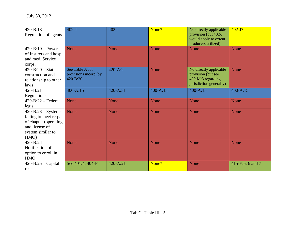| $420 - B:18 -$<br>Regulation of agents                                                                                  | $402-J$                                                  | $402-J$     | None?        | No directly applicable<br>provision (but 402-J<br>would apply to extent<br>producers utilized) | $402 - J?$       |
|-------------------------------------------------------------------------------------------------------------------------|----------------------------------------------------------|-------------|--------------|------------------------------------------------------------------------------------------------|------------------|
| $420 - B:19 - Powers$<br>of Insurers and hosp.<br>and med. Service<br>corps.                                            | None                                                     | None        | None         | None                                                                                           | <b>None</b>      |
| $420 - B:20 - Stat.$<br>construction and<br>relationship to other<br>laws                                               | See Table A for<br>provisions incorp. by<br>$420 - B:20$ | $420 - A:2$ | <b>None</b>  | No directly applicable<br>provision (but see<br>420-M:3 regarding<br>jurisdiction generally)   | <b>None</b>      |
| $420 - B:21 -$<br>Regulations                                                                                           | $400 - A:15$                                             | 420-A:31    | $400 - A:15$ | $400 - A:15$                                                                                   | $400 - A:15$     |
| $420 - B:22 - Federal$<br>legis.                                                                                        | None                                                     | None        | None         | <b>None</b>                                                                                    | <b>None</b>      |
| $420 - B:23 - Systems$<br>failing to meet reqs.<br>of chapter (operating<br>and license of<br>system similar to<br>HMO) | <b>None</b>                                              | <b>None</b> | <b>None</b>  | None                                                                                           | <b>None</b>      |
| 420-B:24<br>Notification of<br>option to enroll in<br><b>HMO</b>                                                        | None                                                     | None        | None         | None                                                                                           | <b>None</b>      |
| $420 - B:25 - Capital$<br>reqs.                                                                                         | See 401:4, 404-F                                         | 420-A:21    | None?        | None                                                                                           | 415-E:5, 6 and 7 |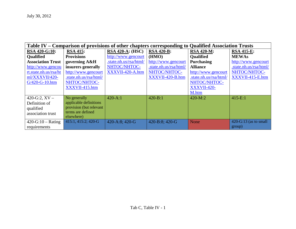| Table IV – Comparison of provisions of other chapters corresponding to Qualified Association Trusts |                         |                         |                        |                        |                         |  |  |  |
|-----------------------------------------------------------------------------------------------------|-------------------------|-------------------------|------------------------|------------------------|-------------------------|--|--|--|
| RSA 420-G:10:                                                                                       | <b>RSA 415:</b>         | <b>RSA 420-A: (HSC)</b> | <b>RSA 420-B:</b>      | <b>RSA 420-M:</b>      | <b>RSA 415-E:</b>       |  |  |  |
| <b>Qualified</b>                                                                                    | <b>Provisions</b>       | http://www.gencourt     | (HMO)                  | <b>Qualified</b>       | <b>MEWAs</b>            |  |  |  |
| <b>Association Trust</b>                                                                            | governing A&H           | .state.nh.us/rsa/html/  | http://www.gencourt    | Purchasing             | http://www.gencourt     |  |  |  |
| http://www.gencou                                                                                   | insurers generally      | NHTOC/NHTOC-            | .state.nh.us/rsa/html/ | <b>Alliance</b>        | .state.nh.us/rsa/html/  |  |  |  |
| rt.state.nh.us/rsa/ht                                                                               | http://www.gencourt     | XXXVII-420-A.htm        | NHTOC/NHTOC-           | http://www.gencourt    | NHTOC/NHTOC-            |  |  |  |
| ml/XXXVII/420-                                                                                      | .state.nh.us/rsa/html/  |                         | XXXVII-420-B.htm       | .state.nh.us/rsa/html/ | XXXVII-415-E.htm        |  |  |  |
| $G/420 - G - 10.htm$                                                                                | NHTOC/NHTOC-            |                         |                        | NHTOC/NHTOC-           |                         |  |  |  |
|                                                                                                     | XXXVII-415.htm          |                         |                        | XXXVII-420-            |                         |  |  |  |
|                                                                                                     |                         |                         |                        | M.htm                  |                         |  |  |  |
| 420-G:2, $XV -$                                                                                     | No generally            | $420 - A:1$             | $420 - B:1$            | 420-M:2                | $415-E:1$               |  |  |  |
| Definition of                                                                                       | applicable definitions  |                         |                        |                        |                         |  |  |  |
| qualified                                                                                           | provision (but relevant |                         |                        |                        |                         |  |  |  |
| association trust                                                                                   | terms are defined       |                         |                        |                        |                         |  |  |  |
|                                                                                                     | elsewhere)              |                         |                        |                        |                         |  |  |  |
| $420-G:10-Rating$                                                                                   | 415:1, 415:2; 420-G     | 420-A:8; 420-G          | 420-B:8; 420-G         | None                   | $420-G:13$ (as to small |  |  |  |
| requirements                                                                                        |                         |                         |                        |                        | group)                  |  |  |  |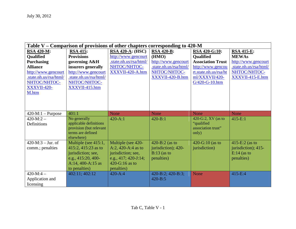| Table V – Comparison of provisions of other chapters corresponding to 420-M |                         |                           |                        |                          |                        |  |
|-----------------------------------------------------------------------------|-------------------------|---------------------------|------------------------|--------------------------|------------------------|--|
| <b>RSA 420-M:</b>                                                           | <b>RSA 415:</b>         | $RSA 420-A: (HSC)$        | <b>RSA 420-B:</b>      | <b>RSA 420-G:10:</b>     | <b>RSA 415-E:</b>      |  |
| <b>Qualified</b>                                                            | <b>Provisions</b>       | http://www.gencourt       | (HMO)                  | <b>Oualified</b>         | <b>MEWAs</b>           |  |
| <b>Purchasing</b>                                                           | governing A&H           | .state.nh.us/rsa/html/    | http://www.gencourt    | <b>Association Trust</b> | http://www.gencourt    |  |
| <b>Alliance</b>                                                             | insurers generally      | NHTOC/NHTOC-              | .state.nh.us/rsa/html/ | http://www.gencou        | .state.nh.us/rsa/html/ |  |
| http://www.gencourt                                                         | http://www.gencourt     | XXXVII-420-A.htm          | NHTOC/NHTOC-           | rt.state.nh.us/rsa/ht    | NHTOC/NHTOC-           |  |
| .state.nh.us/rsa/html/                                                      | .state.nh.us/rsa/html/  |                           | XXXVII-420-B.htm       | ml/XXXVII/420-           | XXXVII-415-E.htm       |  |
| NHTOC/NHTOC-                                                                | NHTOC/NHTOC-            |                           |                        | G/420-G-10.htm           |                        |  |
| XXXVII-420-                                                                 | XXXVII-415.htm          |                           |                        |                          |                        |  |
| M.htm                                                                       |                         |                           |                        |                          |                        |  |
|                                                                             |                         |                           |                        |                          |                        |  |
|                                                                             |                         |                           |                        |                          |                        |  |
|                                                                             |                         |                           |                        |                          |                        |  |
| $420-M:1-Purpose$                                                           | 401:1                   | None                      | None                   | None                     | <b>None</b>            |  |
| $420-M:2-$                                                                  | No generally            | $420 - A:1$               | $420 - B:1$            | 420-G:2, $XV$ (as to     | $415 - E:1$            |  |
| Definitions                                                                 | applicable definitions  |                           |                        | "qualified               |                        |  |
|                                                                             | provision (but relevant |                           |                        | association trust"       |                        |  |
|                                                                             | terms are defined       |                           |                        | only)                    |                        |  |
|                                                                             | elsewhere)              |                           |                        |                          |                        |  |
| $420-M:3 - Jur.$ of                                                         | Multiple (see $415:1$ , | Multiple (see 420-        | 420-B:2 (as to         | 420-G:10 (as to          | 415-E: $2$ (as to      |  |
| comm.; penalties                                                            | 415:2, 415:23 as to     | A:2, 420-A:4 as to        | jurisdiction); 420-    | jurisdiction)            | jurisdiction); 415-    |  |
|                                                                             | jurisdiction; see,      | jurisdiction; see,        | $B:13$ (as to          |                          | $E:14$ (as to          |  |
|                                                                             | e.g., 415:20, 400-      | e.g., $417; 420 - J: 14;$ | penalties)             |                          | penalties)             |  |
|                                                                             | A:14, 400-A:15 as       | 420-G:16 as to            |                        |                          |                        |  |
|                                                                             | to penalties)           | penalties)                |                        |                          |                        |  |
| $420-M:4-$                                                                  | 402:11; 402:12          | $420 - A:4$               | 420-B:2; 420-B:3;      | None                     | 415-E:4                |  |
| Application and                                                             |                         |                           | $420 - B:5$            |                          |                        |  |
|                                                                             |                         |                           |                        |                          |                        |  |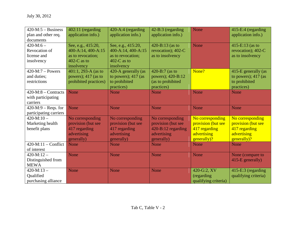| $420-M:5 - Business$              | 402:11 (regarding     | 420-A:4 (regarding    | 42-B:3 (regarding  | None                 | 415-E:4 (regarding    |
|-----------------------------------|-----------------------|-----------------------|--------------------|----------------------|-----------------------|
| plan and other req.               | application info.)    | application info.)    | application info.) |                      | application info.)    |
| documents                         |                       |                       |                    |                      |                       |
| $420-M:6-$                        | See, e.g., 415:20,    | See, e.g., 415:20,    | 420-B:13 (as to    | <b>None</b>          | 415-E:13 (as to       |
| Revocation of                     | 400-A:14, 400-A:15    | 400-A:14, 400-A:15    | revocation); 402-C |                      | revocation); 402-C    |
| license and                       | as to revocation;     | as to revocation;     | as to insolvency   |                      | as to insolvency      |
| insolvency                        | 402-C as to           | 402- $C$ as to        |                    |                      |                       |
|                                   | insolvency            | insolvency            |                    |                      |                       |
| $420-M:7 - Powers$                | $401:1, 293-A$ (as to | 420-A generally (as   | 420-B:7 (as to     | None?                | 415-E generally (as   |
| and duties;                       | powers); 417 (as to   | to powers); $417$ (as | powers); 420-B:12  |                      | to powers); $417$ (as |
| restrictions                      | prohibited practices) | to prohibited         | (as to prohibited  |                      | to prohibited         |
|                                   |                       | practices)            | practices)         |                      | practices)            |
| $420-M:8 -$ Contracts             | None                  | None                  | None               | None                 | None                  |
| with participating                |                       |                       |                    |                      |                       |
| carriers                          |                       |                       |                    |                      |                       |
| $\overline{420}$ -M:9 – Reqs. for | None                  | None                  | None               | None                 | None                  |
| participating carriers            |                       |                       |                    |                      |                       |
| $420-M:10-$                       | No corresponding      | No corresponding      | No corresponding   | No corresponding     | No corresponding      |
| Marketing health                  | provision (but see    | provision (but see    | provision (but see | provision (but see   | provision (but see    |
| benefit plans                     | 417 regarding         | 417 regarding         | 420-B:12 regarding | 417 regarding        | 417 regarding         |
|                                   | advertising           | advertising           | advertising        | advertising          | advertising           |
|                                   | generally)            | generally)            | generally)         | generally)?          | generally)?           |
| $420-M:11$ – Conflict             | None                  | None                  | None               | <b>None</b>          | None                  |
| of interest                       |                       |                       |                    |                      |                       |
| $420-M:12-$                       | None                  | None                  | None               | None                 | None (compare to      |
| Distinguished from                |                       |                       |                    |                      | 415-E generally)      |
| <b>MEWA</b>                       |                       |                       |                    |                      |                       |
| $420-M:13-$                       | None                  | None                  | None               | 420-G:2, XV          | 415-E:3 (regarding    |
| Qualified                         |                       |                       |                    | (regarding)          | qualifying criteria)  |
| purchasing alliance               |                       |                       |                    | qualifying criteria) |                       |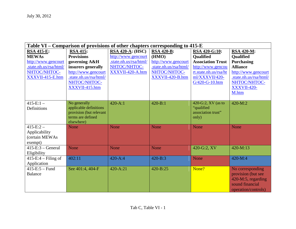| Table VI – Comparison of provisions of other chapters corresponding to 415-E |                                 |                         |                        |                          |                        |  |  |  |  |  |  |
|------------------------------------------------------------------------------|---------------------------------|-------------------------|------------------------|--------------------------|------------------------|--|--|--|--|--|--|
| <b>RSA 415-E:</b>                                                            | <b>RSA 415:</b>                 | <b>RSA 420-A: (HSC)</b> | <b>RSA 420-B:</b>      | <b>RSA 420-G:10:</b>     | <b>RSA 420-M:</b>      |  |  |  |  |  |  |
| <b>MEWAs</b>                                                                 | <b>Provisions</b>               | http://www.gencourt     | (HMO)                  | <b>Oualified</b>         | <b>Oualified</b>       |  |  |  |  |  |  |
| http://www.gencourt                                                          | governing A&H                   | .state.nh.us/rsa/html/  | http://www.gencourt    | <b>Association Trust</b> | Purchasing             |  |  |  |  |  |  |
| state.nh.us/rsa/html/                                                        | insurers generally              | NHTOC/NHTOC-            | .state.nh.us/rsa/html/ | http://www.gencou        | <b>Alliance</b>        |  |  |  |  |  |  |
| NHTOC/NHTOC-                                                                 | http://www.gencourt             | XXXVII-420-A.htm        | NHTOC/NHTOC-           | rt.state.nh.us/rsa/ht    | http://www.gencourt    |  |  |  |  |  |  |
| XXXVII-415-E.htm                                                             | .state.nh.us/rsa/html/          |                         | XXXVII-420-B.htm       | ml/XXXVII/420-           | .state.nh.us/rsa/html/ |  |  |  |  |  |  |
|                                                                              | NHTOC/NHTOC-                    |                         |                        | G/420-G-10.htm           | NHTOC/NHTOC-           |  |  |  |  |  |  |
|                                                                              | XXXVII-415.htm                  |                         |                        |                          | <b>XXXVII-420-</b>     |  |  |  |  |  |  |
|                                                                              |                                 |                         |                        |                          | M.htm                  |  |  |  |  |  |  |
|                                                                              |                                 |                         |                        |                          |                        |  |  |  |  |  |  |
| $415-E:1-$                                                                   | No generally                    | $420 - A:1$             | $420 - B:1$            | 420-G:2, $XV$ (as to     | $420-M:2$              |  |  |  |  |  |  |
| Definitions                                                                  | applicable definitions          |                         |                        | "qualified               |                        |  |  |  |  |  |  |
|                                                                              | provision (but relevant         |                         |                        | association trust"       |                        |  |  |  |  |  |  |
|                                                                              | terms are defined<br>elsewhere) |                         |                        | only)                    |                        |  |  |  |  |  |  |
| $415-E:2-$                                                                   | <b>None</b>                     | <b>None</b>             | None                   | None                     | <b>None</b>            |  |  |  |  |  |  |
| Applicability                                                                |                                 |                         |                        |                          |                        |  |  |  |  |  |  |
| (certain MEWAs                                                               |                                 |                         |                        |                          |                        |  |  |  |  |  |  |
| exempt)                                                                      |                                 |                         |                        |                          |                        |  |  |  |  |  |  |
| $415-E:3 - General$                                                          | None                            | <b>None</b>             | None                   | 420-G:2, XV              | $420-M:13$             |  |  |  |  |  |  |
| Eligibility                                                                  |                                 |                         |                        |                          |                        |  |  |  |  |  |  |
| $415-E:4-Filing of$                                                          | 402:11                          | $420 - A:4$             | 420-B:3                | None                     | $420-M:4$              |  |  |  |  |  |  |
| Application                                                                  |                                 |                         |                        |                          |                        |  |  |  |  |  |  |
| $415-E:5-Fund$                                                               | See 401:4, 404-F                | 420-A:21                | 420-B:25               | None?                    | No corresponding       |  |  |  |  |  |  |
| <b>Balance</b>                                                               |                                 |                         |                        |                          | provision (but see     |  |  |  |  |  |  |
|                                                                              |                                 |                         |                        |                          | 420-M:5, regarding     |  |  |  |  |  |  |
|                                                                              |                                 |                         |                        |                          | sound financial        |  |  |  |  |  |  |
|                                                                              |                                 |                         |                        |                          | operation/controls)    |  |  |  |  |  |  |
|                                                                              |                                 |                         |                        |                          |                        |  |  |  |  |  |  |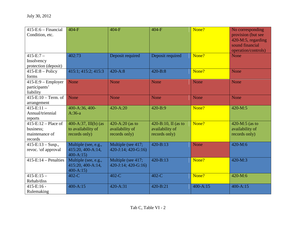| $415-E:6-Financial$<br>Condition, etc. | $404-F$              | $404-F$                     | $404-F$             | None?        | No corresponding<br>provision (but see<br>420-M:5, regarding<br>sound financial |
|----------------------------------------|----------------------|-----------------------------|---------------------|--------------|---------------------------------------------------------------------------------|
|                                        |                      |                             |                     |              | operation/controls)                                                             |
| $415-E:7-$                             | 402:73               | Deposit required            | Deposit required    | None?        | <b>None</b>                                                                     |
| Insolvency                             |                      |                             |                     |              |                                                                                 |
| protection (deposit)                   |                      |                             |                     |              |                                                                                 |
| $415-E:8 - Policy$                     | 415:1; 415:2; 415:3  | $420 - A:8$                 | $420 - B:8$         | None?        | <b>None</b>                                                                     |
| forms                                  |                      |                             |                     |              |                                                                                 |
| $415-E:9 - Employer$                   | None                 | None                        | None                | None         | None                                                                            |
| participants'<br>liability             |                      |                             |                     |              |                                                                                 |
| $415-E:10-Term.$ of                    | None                 | <b>None</b>                 | None                | None         | None                                                                            |
| arrangement                            |                      |                             |                     |              |                                                                                 |
| $415-E:11-$                            | 400-A:36, 400-       | 420-A:20                    | 420-B:9             | None?        | 420-M:5                                                                         |
| Annual/triennial                       | $A:36-a$             |                             |                     |              |                                                                                 |
| reports                                |                      |                             |                     |              |                                                                                 |
| $415-E:12$ – Place of                  | 400-A:37, III(b) (as | 420-A:20 (as to             | 420-B:10, II (as to | None?        | 420-M:5 (as to                                                                  |
| business;                              | to availability of   | availability of             | availability of     |              | availability of                                                                 |
| maintenance of                         | records only)        | records only)               | records only)       |              | records only)                                                                   |
| records                                |                      |                             |                     |              |                                                                                 |
| $415-E:13-Susp.$                       | Multiple (see, e.g., | Multiple (see 417;          | $420 - B:13$        | None         | $420-M:6$                                                                       |
| revoc. \of approval                    | 415:20, 400-A:14,    | $420 - J:14$ ; $420 - G:16$ |                     |              |                                                                                 |
|                                        | $400 - A:15$         |                             |                     |              |                                                                                 |
| $415-E:14$ – Penalties                 | Multiple (see, e.g., | Multiple (see 417;          | $420 - B:13$        | None?        | 420-M:3                                                                         |
|                                        | 415:20, 400-A:14,    | $420 - J:14$ ; $420 - G:16$ |                     |              |                                                                                 |
|                                        | $400 - A:15$         |                             |                     |              |                                                                                 |
| $415-E:15-$                            | $402-C$              | $402-C$                     | $402-C$             | None?        | 420-M:6                                                                         |
| Rehab/diss                             |                      |                             |                     |              |                                                                                 |
| $415-E:16 -$                           | 400-A:15             | 420-A:31                    | 420-B:21            | $400 - A:15$ | 400-A:15                                                                        |
| Rulemaking                             |                      |                             |                     |              |                                                                                 |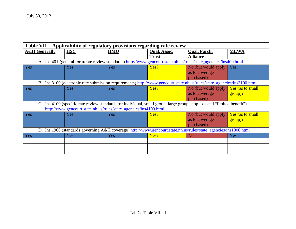| Table VII - Applicability of regulatory provisions regarding rate review |                                                                                                                         |            |                     |                     |                  |  |  |  |  |  |
|--------------------------------------------------------------------------|-------------------------------------------------------------------------------------------------------------------------|------------|---------------------|---------------------|------------------|--|--|--|--|--|
| <b>A&amp;H</b> Generally                                                 | <b>HSC</b>                                                                                                              | <b>HMO</b> | <b>Qual. Assoc.</b> | <b>Qual. Purch.</b> | <b>MEWA</b>      |  |  |  |  |  |
|                                                                          |                                                                                                                         |            | <b>Trust</b>        | <b>Alliance</b>     |                  |  |  |  |  |  |
|                                                                          | A. Ins 401 (general form/rate review standards) http://www.gencourt.state.nh.us/rules/state_agencies/ins400.html        |            |                     |                     |                  |  |  |  |  |  |
| <b>Yes</b>                                                               | <b>Yes</b>                                                                                                              | Yes        | Yes?                | No (but would apply | Yes              |  |  |  |  |  |
|                                                                          |                                                                                                                         |            |                     | as to coverage      |                  |  |  |  |  |  |
|                                                                          |                                                                                                                         |            |                     | purchased)          |                  |  |  |  |  |  |
|                                                                          | B. Ins 3100 (electronic rate submission requirements) http://www.gencourt.state.nh.us/rules/state_agencies/ins3100.html |            |                     |                     |                  |  |  |  |  |  |
| Yes                                                                      | Yes                                                                                                                     | Yes        | Yes?                | No (but would apply | Yes (as to small |  |  |  |  |  |
|                                                                          |                                                                                                                         |            |                     | as to coverage      | $group$ ?        |  |  |  |  |  |
|                                                                          |                                                                                                                         |            |                     | purchased)          |                  |  |  |  |  |  |
|                                                                          | C. Ins 4100 (specific rate review standards for individual, small group, large group, stop loss and "limited benefit")  |            |                     |                     |                  |  |  |  |  |  |
|                                                                          | http://www.gencourt.state.nh.us/rules/state_agencies/ins4100.html                                                       |            |                     |                     |                  |  |  |  |  |  |
| Yes                                                                      | Yes                                                                                                                     | Yes        | Yes?                | No (but would apply | Yes (as to small |  |  |  |  |  |
|                                                                          |                                                                                                                         |            |                     | as to coverage      | group)?          |  |  |  |  |  |
|                                                                          |                                                                                                                         |            |                     | purchased)          |                  |  |  |  |  |  |
|                                                                          | D. Ins 1900 (standards governing A&H coverage) http://www.gencourt.state.nh.us/rules/state_agencies/ins1900.html        |            |                     |                     |                  |  |  |  |  |  |
| Yes                                                                      | Yes                                                                                                                     | Yes        | Yes?                | N <sub>o</sub>      | Yes              |  |  |  |  |  |
|                                                                          |                                                                                                                         |            |                     |                     |                  |  |  |  |  |  |
|                                                                          |                                                                                                                         |            |                     |                     |                  |  |  |  |  |  |
|                                                                          |                                                                                                                         |            |                     |                     |                  |  |  |  |  |  |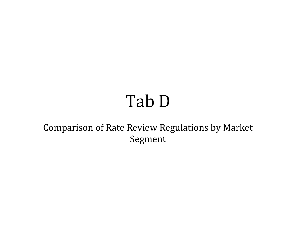## Tab D

Comparison of Rate Review Regulations by Market Segment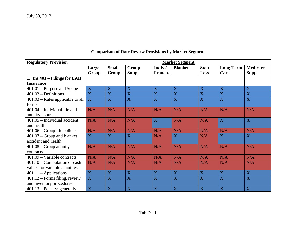#### **Comparison of Rate Review Provisions by Market Segment**

| <b>Regulatory Provision</b>        | <b>Market Segment</b> |                           |                         |                           |                |                |                |                 |
|------------------------------------|-----------------------|---------------------------|-------------------------|---------------------------|----------------|----------------|----------------|-----------------|
|                                    | Large                 | <b>Small</b>              | Group                   | Indiv./                   | <b>Blanket</b> | <b>Stop</b>    | Long-Term      | <b>Medicare</b> |
|                                    | Group                 | Group                     | Supp.                   | Franch.                   |                | Loss           | Care           | <b>Supp</b>     |
| 1. Ins $401 -$ Filings for LAH     |                       |                           |                         |                           |                |                |                |                 |
| <b>Insurance</b>                   |                       |                           |                         |                           |                |                |                |                 |
| $401.01$ – Purpose and Scope       | $\overline{X}$        | X                         | X                       | X                         | X              | X              | X              | X               |
| $401.02 -$ Definitions             | X                     | X                         | X                       | X                         | X              | $\mathbf X$    | $\mathbf X$    | $\mathbf X$     |
| $401.03$ – Rules applicable to all | X                     | X                         | X                       | X                         | X              | X              | $\overline{X}$ | $\overline{X}$  |
| forms                              |                       |                           |                         |                           |                |                |                |                 |
| $401.04$ – Individual life and     | N/A                   | N/A                       | N/A                     | N/A                       | N/A            | N/A            | N/A            | N/A             |
| annuity contracts                  |                       |                           |                         |                           |                |                |                |                 |
| 401.05 - Individual accident       | N/A                   | N/A                       | N/A                     | X                         | N/A            | N/A            | $\overline{X}$ | $\overline{X}$  |
| and health                         |                       |                           |                         |                           |                |                |                |                 |
| $401.06$ – Group life policies     | N/A                   | N/A                       | N/A                     | N/A                       | N/A            | N/A            | N/A            | N/A             |
| $401.07$ – Group and blanket       | X                     | X                         | X                       | N/A                       | X              | N/A            | X              | $\mathbf X$     |
| accident and health                |                       |                           |                         |                           |                |                |                |                 |
| $401.08$ – Group annuity           | N/A                   | N/A                       | N/A                     | N/A                       | N/A            | N/A            | N/A            | N/A             |
| contracts                          |                       |                           |                         |                           |                |                |                |                 |
| $401.09 - Variable contracts$      | N/A                   | N/A                       | N/A                     | N/A                       | N/A            | N/A            | N/A            | N/A             |
| $401.10$ – Computation of cash     | N/A                   | N/A                       | N/A                     | N/A                       | N/A            | N/A            | N/A            | N/A             |
| values for variable annuities      |                       |                           |                         |                           |                |                |                |                 |
| $401.11 - Applications$            | X                     | $\boldsymbol{\mathrm{X}}$ | $\overline{\textbf{X}}$ | X                         | X              | $\overline{X}$ | $\mathbf X$    | $\overline{X}$  |
| $401.12$ – Forms filing, review    | $\overline{X}$        | X                         | X                       | X                         | X              | X              | X              | X               |
| and inventory procedures           |                       |                           |                         |                           |                |                |                |                 |
| $401.13$ – Penalty; generally      | $\mathbf X$           | $\mathbf X$               | X                       | $\boldsymbol{\mathrm{X}}$ | X              | X              | X              | X               |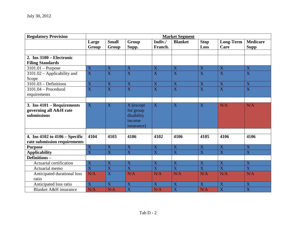| <b>Regulatory Provision</b>                                         | <b>Market Segment</b>   |                         |                                                              |                         |                         |                         |                          |                                |  |
|---------------------------------------------------------------------|-------------------------|-------------------------|--------------------------------------------------------------|-------------------------|-------------------------|-------------------------|--------------------------|--------------------------------|--|
|                                                                     | Large<br>Group          | <b>Small</b><br>Group   | Group<br>Supp.                                               | Indiv./<br>Franch.      | <b>Blanket</b>          | <b>Stop</b><br>Loss     | <b>Long-Term</b><br>Care | <b>Medicare</b><br><b>Supp</b> |  |
|                                                                     |                         |                         |                                                              |                         |                         |                         |                          |                                |  |
| 2. Ins $3100$ – Electronic                                          |                         |                         |                                                              |                         |                         |                         |                          |                                |  |
| <b>Filing Standards</b>                                             |                         |                         |                                                              |                         |                         |                         |                          |                                |  |
| $3101.01$ – Purpose                                                 | X                       | $\mathbf X$             | $\mathbf X$                                                  | $\mathbf X$             | $\mathbf X$             | X                       | X                        | X                              |  |
| $3101.02$ – Applicability and                                       | $\overline{X}$          | $\overline{\text{X}}$   | $\overline{\mathbf{X}}$                                      | $\overline{\mathbf{X}}$ | $\overline{\text{X}}$   | $\overline{X}$          | $\overline{\mathbf{X}}$  | $\overline{\mathbf{X}}$        |  |
| Scope                                                               |                         |                         |                                                              |                         |                         |                         |                          |                                |  |
| $3101.03 - Definitions$                                             | $\mathbf X$             | $\overline{\textbf{X}}$ | $\overline{\textbf{X}}$                                      | $\overline{\textbf{X}}$ | $\overline{\textbf{X}}$ | $\overline{\mathbf{X}}$ | $\overline{\mathbf{X}}$  | $\overline{\mathbf{X}}$        |  |
| $3101.04$ - Procedural                                              | $\overline{X}$          | $\overline{\text{X}}$   | $\overline{\text{X}}$                                        | $\overline{\mathbf{X}}$ | $\overline{\text{X}}$   | $\overline{X}$          | $\overline{\textbf{X}}$  | $\overline{\mathbf{X}}$        |  |
| requirements                                                        |                         |                         |                                                              |                         |                         |                         |                          |                                |  |
|                                                                     |                         |                         |                                                              |                         |                         |                         |                          |                                |  |
| 3. Ins 4101 – Requirements<br>governing all A&H rate<br>submissions | $\mathbf X$             | $\overline{\mathbf{X}}$ | X (except<br>for group<br>disability<br>income<br>insurance) | $\mathbf X$             | $\mathbf X$             | $\overline{X}$          | N/A                      | N/A                            |  |
| 4. Ins $4102$ to $4106 -$ Specific                                  | 4104                    | 4103                    | 4106                                                         | 4102                    | 4106                    | 4105                    | 4106                     | 4106                           |  |
| rate submission requirements                                        |                         |                         |                                                              |                         |                         |                         |                          |                                |  |
| <b>Purpose</b>                                                      | $\overline{X}$          | $\overline{X}$          | $\overline{X}$                                               | $\overline{X}$          | $\overline{X}$          | $\overline{X}$          | $\overline{X}$           | $\overline{X}$                 |  |
| <b>Applicability</b>                                                | $\overline{\text{X}}$   | $\overline{\text{X}}$   | $\overline{\text{X}}$                                        | $\overline{\text{X}}$   | $\overline{\text{X}}$   | $\overline{\mathbf{X}}$ | $\overline{X}$           | $\overline{\mathbf{X}}$        |  |
| <b>Definitions-</b>                                                 |                         |                         |                                                              |                         |                         |                         |                          |                                |  |
| Actuarial certification                                             | $\overline{X}$          | X                       | $\overline{X}$                                               | X                       | X                       | X                       | $\overline{X}$           | $\overline{X}$                 |  |
| Actuarial memo                                                      | $\overline{\mathbf{X}}$ | $\overline{\mathbf{X}}$ | $\overline{\mathbf{X}}$                                      | $\overline{X}$          | $\overline{\mathbf{X}}$ | $\overline{X}$          | $\overline{\mathbf{X}}$  | $\overline{\mathbf{X}}$        |  |
| Anticipated durational loss                                         | N/A                     | $\overline{\mathbf{X}}$ | N/A                                                          | N/A                     | N/A                     | N/A                     | N/A                      | N/A                            |  |
| ratio                                                               |                         |                         |                                                              |                         |                         |                         |                          |                                |  |
| Anticipated loss ratio                                              | $\overline{\text{X}}$   | $\overline{\mathbf{X}}$ | $\overline{\mathbf{X}}$                                      | $\overline{\mathbf{X}}$ | $\overline{\mathbf{X}}$ | $\overline{X}$          | $\overline{X}$           | $\overline{\textbf{X}}$        |  |
| <b>Blanket A&amp;H</b> insurance                                    | N/A                     | N/A                     | X                                                            | N/A                     | X                       | N/A                     | $\overline{\mathbf{X}}$  | $\overline{\mathbf{X}}$        |  |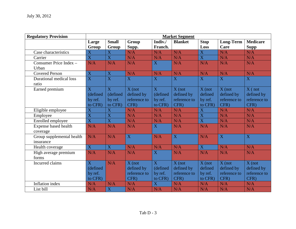| <b>Regulatory Provision</b> |                           |                           |                |                | <b>Market Segment</b> |                         |                  |                 |
|-----------------------------|---------------------------|---------------------------|----------------|----------------|-----------------------|-------------------------|------------------|-----------------|
|                             | Large                     | <b>Small</b>              | Group          | Indiv./        | <b>Blanket</b>        | <b>Stop</b>             | <b>Long-Term</b> | <b>Medicare</b> |
|                             | Group                     | Group                     | Supp.          | Franch.        |                       | Loss                    | Care             | <b>Supp</b>     |
| Case characteristics        | $\mathbf X$               | $\overline{X}$            | N/A            | N/A            | N/A                   | $\overline{\mathbf{X}}$ | N/A              | N/A             |
| Carrier                     | $\overline{\text{X}}$     | $\overline{\mathbf{X}}$   | N/A            | N/A            | N/A                   | $\overline{X}$          | N/A              | N/A             |
| Consumer Price Index -      | N/A                       | N/A                       | N/A            | $\overline{X}$ | N/A                   | N/A                     | N/A              | N/A             |
| Urban                       |                           |                           |                |                |                       |                         |                  |                 |
| <b>Covered Person</b>       | $\mathbf X$               | $\mathbf X$               | N/A            | N/A            | N/A                   | N/A                     | N/A              | N/A             |
| Durational medical loss     | $\overline{\text{X}}$     | $\overline{\mathbf{X}}$   | $\overline{X}$ | X              | X                     | X                       | $\overline{X}$   | $\mathbf{X}$    |
| ratio                       |                           |                           |                |                |                       |                         |                  |                 |
| Earned premium              | X                         | $\overline{X}$            | $X$ (not       | X              | $X$ (not              | $X$ (not                | $X$ (not         | $X($ not        |
|                             | (defined                  | (defined                  | defined by     | (defined       | defined by            | defined                 | defined by       | defined by      |
|                             | by ref.                   | by ref.                   | reference to   | by ref.        | reference to          | by ref.                 | reference to     | reference to    |
|                             | to CFR)                   | to CFR)                   | CFR)           | to CFR)        | CFR)                  | to CFR)                 | CFR)             | CFR)            |
| Eligible employee           | $\boldsymbol{\mathrm{X}}$ | $\boldsymbol{\mathrm{X}}$ | N/A            | N/A            | N/A                   | $\overline{\mathbf{X}}$ | N/A              | N/A             |
| Employee                    | $\overline{\text{X}}$     | $\overline{X}$            | N/A            | N/A            | N/A                   | $\overline{\mathbf{X}}$ | N/A              | N/A             |
| Enrolled employee           | $\overline{\text{X}}$     | $\overline{\text{X}}$     | N/A            | N/A            | N/A                   | $\overline{\mathbf{X}}$ | N/A              | N/A             |
| Expense based health        | N/A                       | N/A                       | N/A            | $\mathbf{X}$   | N/A                   | N/A                     | N/A              | N/A             |
| coverage                    |                           |                           |                |                |                       |                         |                  |                 |
| Group supplemental health   | N/A                       | N/A                       | $\overline{X}$ | N/A            | $\overline{X}$        | N/A                     | $\overline{X}$   | $\overline{X}$  |
| insurance                   |                           |                           |                |                |                       |                         |                  |                 |
| Health coverage             | $\mathbf X$               | $\mathbf X$               | N/A            | N/A            | N/A                   | $\overline{\mathbf{X}}$ | N/A              | N/A             |
| High average premium        | N/A                       | N/A                       | N/A            | $\overline{X}$ | N/A                   | N/A                     | N/A              | N/A             |
| forms                       |                           |                           |                |                |                       |                         |                  |                 |
| Incurred claims             | $\overline{X}$            | N/A                       | $X$ (not       | $\overline{X}$ | $X$ (not              | $X$ (not                | $X$ (not         | $X$ (not        |
|                             | (defined                  |                           | defined by     | (defined       | defined by            | defined                 | defined by       | defined by      |
|                             | by ref.                   |                           | reference to   | by ref.        | reference to          | by ref.                 | reference to     | reference to    |
|                             | to CFR)                   |                           | CFR)           | to CFR)        | CFR)                  | to CFR)                 | CFR)             | CFR)            |
| Inflation index             | N/A                       | N/A                       | N/A            | $\overline{X}$ | N/A                   | N/A                     | N/A              | N/A             |
| List bill                   | N/A                       | $\mathbf X$               | N/A            | N/A            | N/A                   | N/A                     | N/A              | N/A             |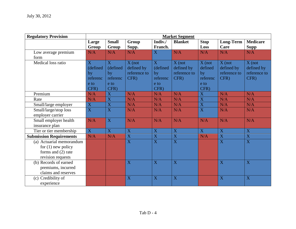| <b>Regulatory Provision</b>    | <b>Market Segment</b>   |                         |                         |                         |                         |                         |                         |                         |
|--------------------------------|-------------------------|-------------------------|-------------------------|-------------------------|-------------------------|-------------------------|-------------------------|-------------------------|
|                                | Large                   | <b>Small</b>            | Group                   | Indiv./                 | <b>Blanket</b>          | <b>Stop</b>             | Long-Term               | <b>Medicare</b>         |
|                                | Group                   | Group                   | Supp.                   | Franch.                 |                         | Loss                    | Care                    | <b>Supp</b>             |
| Low average premium            | N/A                     | N/A                     | N/A                     | X                       | N/A                     | N/A                     | N/A                     | N/A                     |
| form                           |                         |                         |                         |                         |                         |                         |                         |                         |
| Medical loss ratio             | $\overline{X}$          | $\mathbf{X}$            | $X$ (not                | X                       | $X$ (not                | $X($ not                | $X$ (not                | $X$ (not                |
|                                | (defined                | (defined                | defined by              | (defined                | defined by              | defined                 | defined by              | defined by              |
|                                | by                      | by                      | reference to            | by                      | reference to            | by                      | reference to            | reference to            |
|                                | referenc                | referenc                | CFR)                    | referenc                | CFR)                    | referenc                | CFR)                    | CFR)                    |
|                                | e to                    | e to                    |                         | e to                    |                         | e to                    |                         |                         |
|                                | CFR)                    | CFR)                    |                         | CFR)                    |                         | CFR)                    |                         |                         |
| Premium                        | N/A                     | $\mathbf X$             | N/A                     | N/A                     | N/A                     | $\mathbf X$             | N/A                     | N/A                     |
| Rate                           | N/A                     | $\overline{\mathbf{X}}$ | N/A                     | N/A                     | N/A                     | $\overline{\textbf{X}}$ | N/A                     | N/A                     |
| Small/large employer           | $\overline{\textbf{X}}$ | $\overline{\mathbf{X}}$ | N/A                     | N/A                     | N/A                     | $\overline{\mathbf{X}}$ | N/A                     | N/A                     |
| Small/large/stop loss          | $\overline{\mathbf{X}}$ | $\mathbf X$             | N/A                     | N/A                     | N/A                     | $\mathbf X$             | N/A                     | N/A                     |
| employer carrier               |                         |                         |                         |                         |                         |                         |                         |                         |
| Small employer health          | N/A                     | X                       | N/A                     | N/A                     | N/A                     | N/A                     | N/A                     | N/A                     |
| insurance plan                 |                         |                         |                         |                         |                         |                         |                         |                         |
| Tier or tier membership        | $\overline{\mathbf{X}}$ | $\overline{\mathbf{X}}$ | X                       | $\mathbf X$             | $\overline{X}$          | $\overline{\mathbf{X}}$ | $\overline{X}$          | $\overline{\textbf{X}}$ |
| <b>Submission Requirements</b> | N/A                     | N/A                     | $\overline{\mathbf{X}}$ | $\mathbf X$             | $\overline{\mathbf{X}}$ | N/A                     | $\bar{X}$               | $\bar{X}$               |
| (a) Actuarial memorandum       |                         |                         | $\overline{\mathbf{X}}$ | $\overline{\mathbf{X}}$ | $\overline{\mathbf{X}}$ |                         | $\overline{\mathbf{X}}$ | $\overline{\mathbf{X}}$ |
| for $(1)$ new policy           |                         |                         |                         |                         |                         |                         |                         |                         |
| forms and $(2)$ rate           |                         |                         |                         |                         |                         |                         |                         |                         |
| revision requests              |                         |                         |                         |                         |                         |                         |                         |                         |
| (b) Records of earned          |                         |                         | X                       | X                       | X                       |                         | $\overline{X}$          | $\overline{X}$          |
| premiums, incurred             |                         |                         |                         |                         |                         |                         |                         |                         |
| claims and reserves            |                         |                         |                         |                         |                         |                         |                         |                         |
| (c) Credibility of             |                         |                         | X                       | X                       | X                       |                         | X                       | X                       |
| experience                     |                         |                         |                         |                         |                         |                         |                         |                         |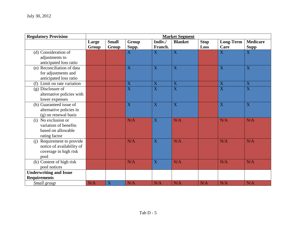| <b>Regulatory Provision</b>   | <b>Market Segment</b> |                              |                         |                           |                         |                     |                       |                                |
|-------------------------------|-----------------------|------------------------------|-------------------------|---------------------------|-------------------------|---------------------|-----------------------|--------------------------------|
|                               | Large<br><b>Group</b> | <b>Small</b><br><b>Group</b> | Group<br>Supp.          | Indiv./<br>Franch.        | <b>Blanket</b>          | <b>Stop</b><br>Loss | Long-Term<br>Care     | <b>Medicare</b><br><b>Supp</b> |
| (d) Consideration of          |                       |                              | X                       | X                         | $\overline{\mathbf{X}}$ |                     | X                     | $\mathbf X$                    |
| adjustments to                |                       |                              |                         |                           |                         |                     |                       |                                |
| anticipated loss ratio        |                       |                              |                         |                           |                         |                     |                       |                                |
| (e) Reconciliation of data    |                       |                              | X                       | X                         | $\overline{X}$          |                     | $\overline{X}$        | $\overline{X}$                 |
| for adjustments and           |                       |                              |                         |                           |                         |                     |                       |                                |
| anticipated loss ratio        |                       |                              |                         |                           |                         |                     |                       |                                |
| (f) Limit on rate variation   |                       |                              | $\mathbf X$             | $\mathbf X$               | $\mathbf X$             |                     | $\mathbf X$           | $\mathbf X$                    |
| (g) Disclosure of             |                       |                              | $\overline{\text{X}}$   | $\overline{\mathbf{X}}$   | $\overline{X}$          |                     | $\overline{\text{X}}$ | $\overline{\mathbf{X}}$        |
| alternative policies with     |                       |                              |                         |                           |                         |                     |                       |                                |
| lower expenses                |                       |                              |                         |                           |                         |                     |                       |                                |
| (h) Guaranteed issue of       |                       |                              | $\overline{\mathbf{X}}$ | $\overline{X}$            | $\overline{\mathbf{X}}$ |                     | $\overline{X}$        | $\overline{X}$                 |
| alternative policies in       |                       |                              |                         |                           |                         |                     |                       |                                |
| (g) on renewal basis          |                       |                              |                         |                           |                         |                     |                       |                                |
| (i) No exclusion or           |                       |                              | N/A                     | $\boldsymbol{\mathrm{X}}$ | N/A                     |                     | N/A                   | N/A                            |
| variation of benefits         |                       |                              |                         |                           |                         |                     |                       |                                |
| based on allowable            |                       |                              |                         |                           |                         |                     |                       |                                |
| rating factor                 |                       |                              |                         |                           |                         |                     |                       |                                |
| Requirement to provide<br>(i) |                       |                              | N/A                     | X                         | N/A                     |                     | N/A                   | N/A                            |
| notice of availability of     |                       |                              |                         |                           |                         |                     |                       |                                |
| coverage in high risk         |                       |                              |                         |                           |                         |                     |                       |                                |
| pool                          |                       |                              |                         |                           |                         |                     |                       |                                |
| (k) Content of high risk      |                       |                              | N/A                     | X                         | N/A                     |                     | N/A                   | N/A                            |
| pool notices                  |                       |                              |                         |                           |                         |                     |                       |                                |
| <b>Underwriting and Issue</b> |                       |                              |                         |                           |                         |                     |                       |                                |
| <b>Requirements</b>           |                       |                              |                         |                           |                         |                     |                       |                                |
| <b>Small</b> group            | N/A                   | X                            | N/A                     | N/A                       | N/A                     | N/A                 | N/A                   | N/A                            |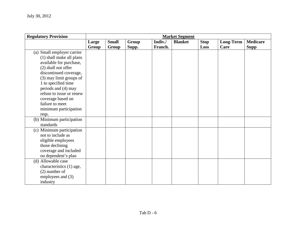| <b>Regulatory Provision</b> |       |              |       |         | <b>Market Segment</b> |             |           |                 |
|-----------------------------|-------|--------------|-------|---------|-----------------------|-------------|-----------|-----------------|
|                             | Large | <b>Small</b> | Group | Indiv./ | <b>Blanket</b>        | <b>Stop</b> | Long-Term | <b>Medicare</b> |
|                             | Group | Group        | Supp. | Franch. |                       | Loss        | Care      | <b>Supp</b>     |
| (a) Small employer carrier  |       |              |       |         |                       |             |           |                 |
| (1) shall make all plans    |       |              |       |         |                       |             |           |                 |
| available for purchase,     |       |              |       |         |                       |             |           |                 |
| (2) shall not offer         |       |              |       |         |                       |             |           |                 |
| discontinued coverage,      |       |              |       |         |                       |             |           |                 |
| (3) may limit groups of     |       |              |       |         |                       |             |           |                 |
| 1 to specified time         |       |              |       |         |                       |             |           |                 |
| periods and (4) may         |       |              |       |         |                       |             |           |                 |
| refuse to issue or renew    |       |              |       |         |                       |             |           |                 |
| coverage based on           |       |              |       |         |                       |             |           |                 |
| failure to meet             |       |              |       |         |                       |             |           |                 |
| minimum participation       |       |              |       |         |                       |             |           |                 |
| reqs.                       |       |              |       |         |                       |             |           |                 |
| (b) Minimum participation   |       |              |       |         |                       |             |           |                 |
| standards                   |       |              |       |         |                       |             |           |                 |
| (c) Minimum participation   |       |              |       |         |                       |             |           |                 |
| not to include as           |       |              |       |         |                       |             |           |                 |
| eligible employees          |       |              |       |         |                       |             |           |                 |
| those declining             |       |              |       |         |                       |             |           |                 |
| coverage and included       |       |              |       |         |                       |             |           |                 |
| on dependent's plan         |       |              |       |         |                       |             |           |                 |
| (d) Allowable case          |       |              |       |         |                       |             |           |                 |
| characteristics (1) age,    |       |              |       |         |                       |             |           |                 |
| $(2)$ number of             |       |              |       |         |                       |             |           |                 |
| employees and (3)           |       |              |       |         |                       |             |           |                 |
| industry                    |       |              |       |         |                       |             |           |                 |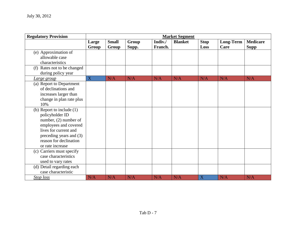| <b>Regulatory Provision</b>                                                                                                                                                                          |                |                       |                |                    | <b>Market Segment</b> |                     |                          |                                |
|------------------------------------------------------------------------------------------------------------------------------------------------------------------------------------------------------|----------------|-----------------------|----------------|--------------------|-----------------------|---------------------|--------------------------|--------------------------------|
|                                                                                                                                                                                                      | Large<br>Group | <b>Small</b><br>Group | Group<br>Supp. | Indiv./<br>Franch. | <b>Blanket</b>        | <b>Stop</b><br>Loss | <b>Long-Term</b><br>Care | <b>Medicare</b><br><b>Supp</b> |
| (e) Approximation of<br>allowable case<br>characteristics                                                                                                                                            |                |                       |                |                    |                       |                     |                          |                                |
| (f) Rates not to be changed<br>during policy year                                                                                                                                                    |                |                       |                |                    |                       |                     |                          |                                |
| <u>Large group</u>                                                                                                                                                                                   | $\mathbf X$    | N/A                   | N/A            | N/A                | N/A                   | N/A                 | N/A                      | N/A                            |
| (a) Report to Department<br>of declinations and<br>increases larger than<br>change in plan rate plus<br>10%                                                                                          |                |                       |                |                    |                       |                     |                          |                                |
| (b) Report to include $(1)$<br>policyholder ID<br>number, $(2)$ number of<br>employees and covered<br>lives for current and<br>preceding years and (3)<br>reason for declination<br>or rate increase |                |                       |                |                    |                       |                     |                          |                                |
| (c) Carriers must specify<br>case characteristics<br>used to vary rates                                                                                                                              |                |                       |                |                    |                       |                     |                          |                                |
| (d) Detail regarding each<br>case characteristic                                                                                                                                                     |                |                       |                |                    |                       |                     |                          |                                |
| Stop loss                                                                                                                                                                                            | N/A            | N/A                   | N/A            | N/A                | N/A                   | X                   | N/A                      | N/A                            |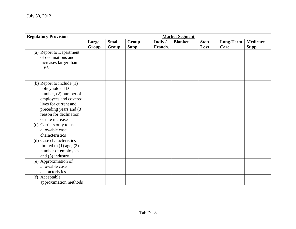| <b>Regulatory Provision</b>                                                                                                                                                                        | <b>Market Segment</b> |                       |                |                    |                |                     |                          |                                |
|----------------------------------------------------------------------------------------------------------------------------------------------------------------------------------------------------|-----------------------|-----------------------|----------------|--------------------|----------------|---------------------|--------------------------|--------------------------------|
|                                                                                                                                                                                                    | Large<br>Group        | <b>Small</b><br>Group | Group<br>Supp. | Indiv./<br>Franch. | <b>Blanket</b> | <b>Stop</b><br>Loss | <b>Long-Term</b><br>Care | <b>Medicare</b><br><b>Supp</b> |
| (a) Report to Department<br>of declinations and<br>increases larger than<br>20%                                                                                                                    |                       |                       |                |                    |                |                     |                          |                                |
| (b) Report to include $(1)$<br>policyholder ID<br>number, (2) number of<br>employees and covered<br>lives for current and<br>preceding years and (3)<br>reason for declination<br>or rate increase |                       |                       |                |                    |                |                     |                          |                                |
| (c) Carriers only to use<br>allowable case<br>characteristics                                                                                                                                      |                       |                       |                |                    |                |                     |                          |                                |
| (d) Case characteristics<br>limited to $(1)$ age, $(2)$<br>number of employees<br>and $(3)$ industry                                                                                               |                       |                       |                |                    |                |                     |                          |                                |
| (e) Approximation of<br>allowable case<br>characteristics                                                                                                                                          |                       |                       |                |                    |                |                     |                          |                                |
| (f) Acceptable<br>approximation methods                                                                                                                                                            |                       |                       |                |                    |                |                     |                          |                                |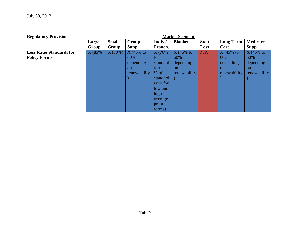| <b>Regulatory Provision</b>     | <b>Market Segment</b> |              |               |           |                |             |                  |                 |
|---------------------------------|-----------------------|--------------|---------------|-----------|----------------|-------------|------------------|-----------------|
|                                 | Large                 | <b>Small</b> | Group         | Indiv./   | <b>Blanket</b> | <b>Stop</b> | <b>Long-Term</b> | <b>Medicare</b> |
|                                 | Group                 | Group        | Supp.         | Franch.   |                | Loss        | Care             | Supp            |
| <b>Loss Ratio Standards for</b> | X(85%)                | X(80%)       | $X(45\%$ to   | X (70%    | $X(45%$ to     | N/A         | $X(45\%$ to      | $X(45%$ to      |
| <b>Policy Forms</b>             |                       |              | 60%           | for       | 60%            |             | 60%              | 60%             |
|                                 |                       |              | depending     | standard  | depending.     |             | depending        | depending       |
|                                 |                       |              | <sub>on</sub> | forms;    | <sub>on</sub>  |             | <sub>on</sub>    | $\alpha$        |
|                                 |                       |              | renewability  | $%$ of    | renewability   |             | renewability     | renewability    |
|                                 |                       |              |               | standard  |                |             |                  |                 |
|                                 |                       |              |               | ratio for |                |             |                  |                 |
|                                 |                       |              |               | low and   |                |             |                  |                 |
|                                 |                       |              |               | high      |                |             |                  |                 |
|                                 |                       |              |               | average   |                |             |                  |                 |
|                                 |                       |              |               | prem.     |                |             |                  |                 |
|                                 |                       |              |               | forms)    |                |             |                  |                 |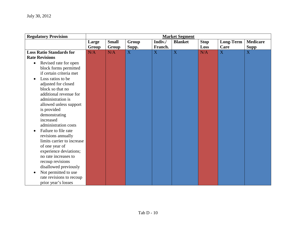| <b>Regulatory Provision</b>        | <b>Market Segment</b> |              |       |         |                |             |                  |                 |
|------------------------------------|-----------------------|--------------|-------|---------|----------------|-------------|------------------|-----------------|
|                                    | Large                 | <b>Small</b> | Group | Indiv./ | <b>Blanket</b> | <b>Stop</b> | <b>Long-Term</b> | <b>Medicare</b> |
|                                    | Group                 | <b>Group</b> | Supp. | Franch. |                | Loss        | Care             | <b>Supp</b>     |
| <b>Loss Ratio Standards for</b>    | N/A                   | N/A          | X     | X       | $\mathbf X$    | N/A         | X                | X               |
| <b>Rate Revisions</b>              |                       |              |       |         |                |             |                  |                 |
| Revised rate for open<br>$\bullet$ |                       |              |       |         |                |             |                  |                 |
| block forms permitted              |                       |              |       |         |                |             |                  |                 |
| if certain criteria met            |                       |              |       |         |                |             |                  |                 |
| Loss ratios to be                  |                       |              |       |         |                |             |                  |                 |
| adjusted for closed                |                       |              |       |         |                |             |                  |                 |
| block so that no                   |                       |              |       |         |                |             |                  |                 |
| additional revenue for             |                       |              |       |         |                |             |                  |                 |
| administration is                  |                       |              |       |         |                |             |                  |                 |
| allowed unless support             |                       |              |       |         |                |             |                  |                 |
| is provided                        |                       |              |       |         |                |             |                  |                 |
| demonstrating                      |                       |              |       |         |                |             |                  |                 |
| increased                          |                       |              |       |         |                |             |                  |                 |
| administration costs               |                       |              |       |         |                |             |                  |                 |
| Failure to file rate               |                       |              |       |         |                |             |                  |                 |
| revisions annually                 |                       |              |       |         |                |             |                  |                 |
| limits carrier to increase         |                       |              |       |         |                |             |                  |                 |
| of one year of                     |                       |              |       |         |                |             |                  |                 |
| experience deviations;             |                       |              |       |         |                |             |                  |                 |
| no rate increases to               |                       |              |       |         |                |             |                  |                 |
| recoup revisions                   |                       |              |       |         |                |             |                  |                 |
| disallowed previously              |                       |              |       |         |                |             |                  |                 |
| Not permitted to use               |                       |              |       |         |                |             |                  |                 |
| rate revisions to recoup           |                       |              |       |         |                |             |                  |                 |
| prior year's losses                |                       |              |       |         |                |             |                  |                 |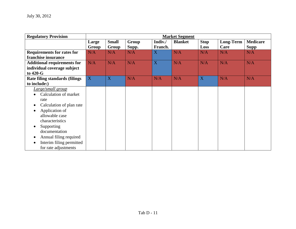| <b>Regulatory Provision</b>                                                                                                                                                                                                                        | <b>Market Segment</b> |                       |                |                    |                |                     |                          |                                |
|----------------------------------------------------------------------------------------------------------------------------------------------------------------------------------------------------------------------------------------------------|-----------------------|-----------------------|----------------|--------------------|----------------|---------------------|--------------------------|--------------------------------|
|                                                                                                                                                                                                                                                    | Large<br>Group        | <b>Small</b><br>Group | Group<br>Supp. | Indiv./<br>Franch. | <b>Blanket</b> | <b>Stop</b><br>Loss | <b>Long-Term</b><br>Care | <b>Medicare</b><br><b>Supp</b> |
| <b>Requirements for rates for</b><br>franchise insurance                                                                                                                                                                                           | N/A                   | N/A                   | N/A            | X                  | N/A            | N/A                 | N/A                      | N/A                            |
| <b>Additional requirements for</b><br>individual coverage subject<br>to 420-G                                                                                                                                                                      | N/A                   | N/A                   | N/A            | X                  | N/A            | N/A                 | N/A                      | N/A                            |
| Rate filing standards (filings<br>to include:)                                                                                                                                                                                                     | X                     | X                     | N/A            | N/A                | N/A            | X                   | N/A                      | N/A                            |
| Large/small group<br>Calculation of market<br>rate<br>Calculation of plan rate<br>Application of<br>allowable case<br>characteristics<br>Supporting<br>documentation<br>Annual filing required<br>Interim filing permitted<br>for rate adjustments |                       |                       |                |                    |                |                     |                          |                                |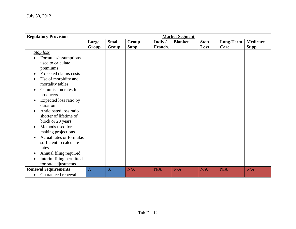| <b>Regulatory Provision</b>                         | <b>Market Segment</b> |              |       |         |                |             |                  |                 |
|-----------------------------------------------------|-----------------------|--------------|-------|---------|----------------|-------------|------------------|-----------------|
|                                                     | Large                 | <b>Small</b> | Group | Indiv./ | <b>Blanket</b> | <b>Stop</b> | <b>Long-Term</b> | <b>Medicare</b> |
|                                                     | Group                 | Group        | Supp. | Franch. |                | Loss        | Care             | <b>Supp</b>     |
| <b>Stop</b> loss                                    |                       |              |       |         |                |             |                  |                 |
| Formulas/assumptions<br>used to calculate           |                       |              |       |         |                |             |                  |                 |
| premiums                                            |                       |              |       |         |                |             |                  |                 |
| Expected claims costs                               |                       |              |       |         |                |             |                  |                 |
| Use of morbidity and<br>mortality tables            |                       |              |       |         |                |             |                  |                 |
| Commission rates for<br>producers                   |                       |              |       |         |                |             |                  |                 |
| Expected loss ratio by<br>duration                  |                       |              |       |         |                |             |                  |                 |
| Anticipated loss ratio<br>shorter of lifetime of    |                       |              |       |         |                |             |                  |                 |
| block or 20 years                                   |                       |              |       |         |                |             |                  |                 |
| Methods used for<br>making projections              |                       |              |       |         |                |             |                  |                 |
| Actual rates or formulas<br>sufficient to calculate |                       |              |       |         |                |             |                  |                 |
| rates                                               |                       |              |       |         |                |             |                  |                 |
| Annual filing required                              |                       |              |       |         |                |             |                  |                 |
| Interim filing permitted                            |                       |              |       |         |                |             |                  |                 |
| for rate adjustments                                |                       |              |       |         |                |             |                  |                 |
| <b>Renewal requirements</b>                         | $\overline{X}$        | X            | N/A   | N/A     | N/A            | N/A         | N/A              | N/A             |
| Guaranteed renewal<br>$\bullet$                     |                       |              |       |         |                |             |                  |                 |